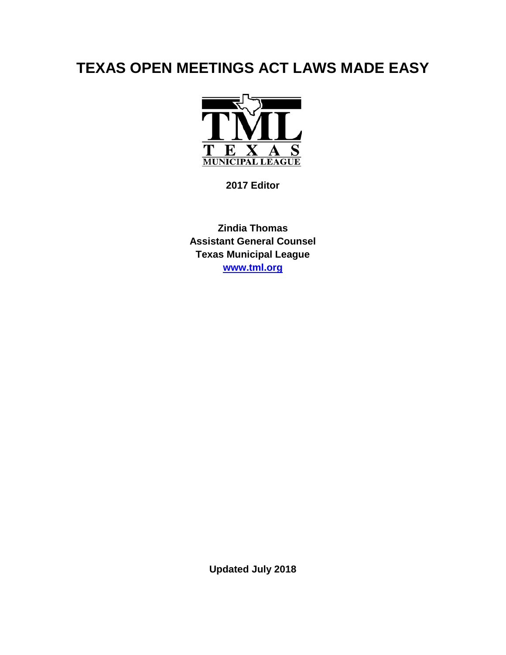# **TEXAS OPEN MEETINGS ACT LAWS MADE EASY**



**2017 Editor**

**Zindia Thomas Assistant General Counsel Texas Municipal League [www.tml.org](http://www.tml.org/)**

**Updated July 2018**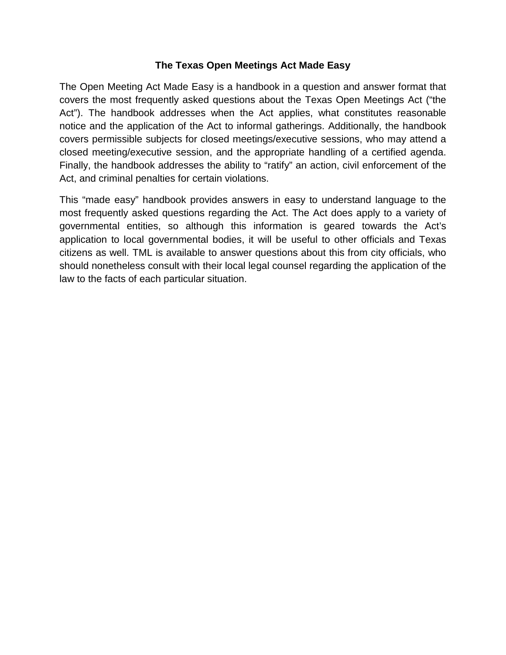#### **The Texas Open Meetings Act Made Easy**

The Open Meeting Act Made Easy is a handbook in a question and answer format that covers the most frequently asked questions about the Texas Open Meetings Act ("the Act"). The handbook addresses when the Act applies, what constitutes reasonable notice and the application of the Act to informal gatherings. Additionally, the handbook covers permissible subjects for closed meetings/executive sessions, who may attend a closed meeting/executive session, and the appropriate handling of a certified agenda. Finally, the handbook addresses the ability to "ratify" an action, civil enforcement of the Act, and criminal penalties for certain violations.

This "made easy" handbook provides answers in easy to understand language to the most frequently asked questions regarding the Act. The Act does apply to a variety of governmental entities, so although this information is geared towards the Act's application to local governmental bodies, it will be useful to other officials and Texas citizens as well. TML is available to answer questions about this from city officials, who should nonetheless consult with their local legal counsel regarding the application of the law to the facts of each particular situation.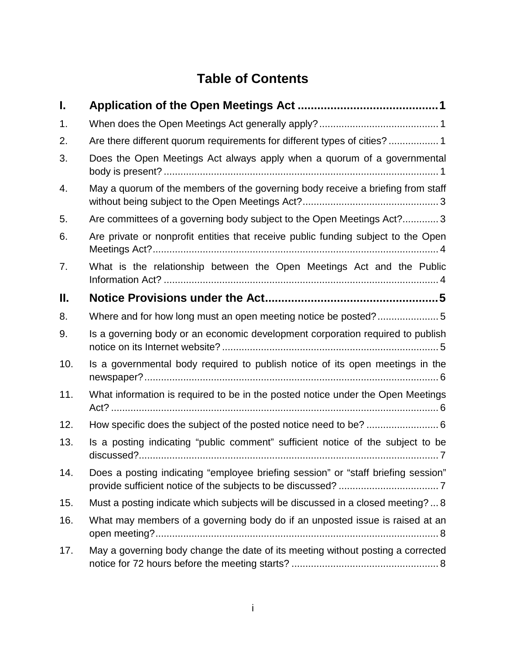# **Table of Contents**

| I.  |                                                                                   |
|-----|-----------------------------------------------------------------------------------|
| 1.  |                                                                                   |
| 2.  | Are there different quorum requirements for different types of cities?  1         |
| 3.  | Does the Open Meetings Act always apply when a quorum of a governmental           |
| 4.  | May a quorum of the members of the governing body receive a briefing from staff   |
| 5.  | Are committees of a governing body subject to the Open Meetings Act? 3            |
| 6.  | Are private or nonprofit entities that receive public funding subject to the Open |
| 7.  | What is the relationship between the Open Meetings Act and the Public             |
| П.  |                                                                                   |
| 8.  | Where and for how long must an open meeting notice be posted?5                    |
| 9.  | Is a governing body or an economic development corporation required to publish    |
| 10. | Is a governmental body required to publish notice of its open meetings in the     |
| 11. | What information is required to be in the posted notice under the Open Meetings   |
| 12. | How specific does the subject of the posted notice need to be?  6                 |
| 13. | Is a posting indicating "public comment" sufficient notice of the subject to be   |
| 14. | Does a posting indicating "employee briefing session" or "staff briefing session" |
| 15. | Must a posting indicate which subjects will be discussed in a closed meeting?8    |
| 16. | What may members of a governing body do if an unposted issue is raised at an      |
| 17. | May a governing body change the date of its meeting without posting a corrected   |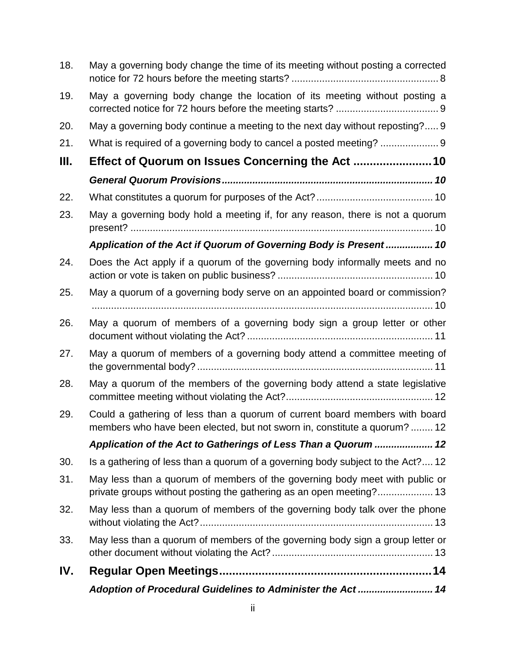| 18. | May a governing body change the time of its meeting without posting a corrected                                                                        |
|-----|--------------------------------------------------------------------------------------------------------------------------------------------------------|
| 19. | May a governing body change the location of its meeting without posting a                                                                              |
| 20. | May a governing body continue a meeting to the next day without reposting? 9                                                                           |
| 21. |                                                                                                                                                        |
| Ш.  |                                                                                                                                                        |
|     |                                                                                                                                                        |
| 22. |                                                                                                                                                        |
| 23. | May a governing body hold a meeting if, for any reason, there is not a quorum                                                                          |
|     | Application of the Act if Quorum of Governing Body is Present 10                                                                                       |
| 24. | Does the Act apply if a quorum of the governing body informally meets and no                                                                           |
| 25. | May a quorum of a governing body serve on an appointed board or commission?                                                                            |
| 26. | May a quorum of members of a governing body sign a group letter or other                                                                               |
| 27. | May a quorum of members of a governing body attend a committee meeting of                                                                              |
| 28. | May a quorum of the members of the governing body attend a state legislative                                                                           |
| 29. | Could a gathering of less than a quorum of current board members with board<br>members who have been elected, but not sworn in, constitute a quorum?12 |
|     | Application of the Act to Gatherings of Less Than a Quorum  12                                                                                         |
| 30. | Is a gathering of less than a quorum of a governing body subject to the Act? 12                                                                        |
| 31. | May less than a quorum of members of the governing body meet with public or<br>private groups without posting the gathering as an open meeting? 13     |
| 32. | May less than a quorum of members of the governing body talk over the phone                                                                            |
| 33. | May less than a quorum of members of the governing body sign a group letter or                                                                         |
| IV. |                                                                                                                                                        |
|     | Adoption of Procedural Guidelines to Administer the Act 14                                                                                             |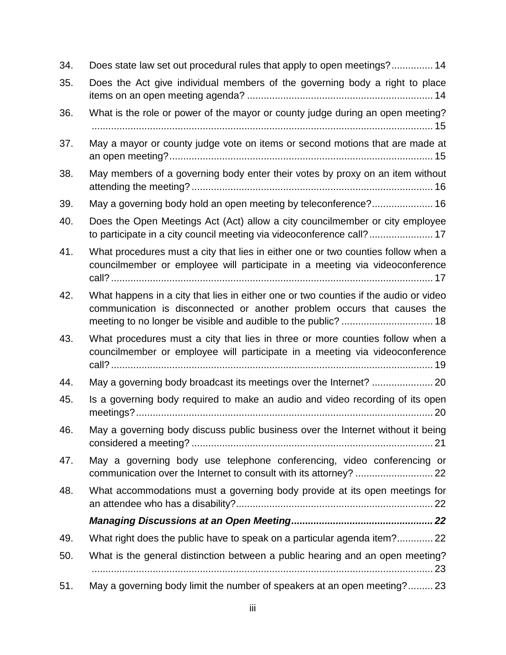| 34. | Does state law set out procedural rules that apply to open meetings? 14                                                                                          |
|-----|------------------------------------------------------------------------------------------------------------------------------------------------------------------|
| 35. | Does the Act give individual members of the governing body a right to place                                                                                      |
| 36. | What is the role or power of the mayor or county judge during an open meeting?                                                                                   |
| 37. | May a mayor or county judge vote on items or second motions that are made at                                                                                     |
| 38. | May members of a governing body enter their votes by proxy on an item without                                                                                    |
| 39. | May a governing body hold an open meeting by teleconference? 16                                                                                                  |
| 40. | Does the Open Meetings Act (Act) allow a city councilmember or city employee<br>to participate in a city council meeting via videoconference call? 17            |
| 41. | What procedures must a city that lies in either one or two counties follow when a<br>councilmember or employee will participate in a meeting via videoconference |
| 42. | What happens in a city that lies in either one or two counties if the audio or video<br>communication is disconnected or another problem occurs that causes the  |
| 43. | What procedures must a city that lies in three or more counties follow when a<br>councilmember or employee will participate in a meeting via videoconference     |
|     |                                                                                                                                                                  |
| 44. | May a governing body broadcast its meetings over the Internet?  20                                                                                               |
| 45. | Is a governing body required to make an audio and video recording of its open                                                                                    |
| 46. | May a governing body discuss public business over the Internet without it being                                                                                  |
| 47. | May a governing body use telephone conferencing, video conferencing or                                                                                           |
| 48. | What accommodations must a governing body provide at its open meetings for                                                                                       |
|     |                                                                                                                                                                  |
| 49. | What right does the public have to speak on a particular agenda item?22                                                                                          |
| 50. | What is the general distinction between a public hearing and an open meeting?                                                                                    |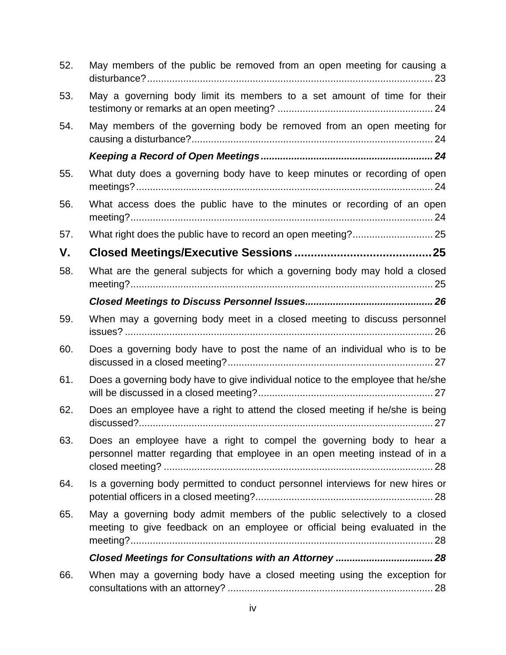| 52. | May members of the public be removed from an open meeting for causing a                                                                                |
|-----|--------------------------------------------------------------------------------------------------------------------------------------------------------|
| 53. | May a governing body limit its members to a set amount of time for their                                                                               |
| 54. | May members of the governing body be removed from an open meeting for                                                                                  |
|     |                                                                                                                                                        |
| 55. | What duty does a governing body have to keep minutes or recording of open                                                                              |
| 56. | What access does the public have to the minutes or recording of an open                                                                                |
| 57. |                                                                                                                                                        |
| V.  |                                                                                                                                                        |
| 58. | What are the general subjects for which a governing body may hold a closed                                                                             |
|     |                                                                                                                                                        |
| 59. | When may a governing body meet in a closed meeting to discuss personnel                                                                                |
| 60. | Does a governing body have to post the name of an individual who is to be                                                                              |
| 61. | Does a governing body have to give individual notice to the employee that he/she                                                                       |
| 62. | Does an employee have a right to attend the closed meeting if he/she is being                                                                          |
| 63. | Does an employee have a right to compel the governing body to hear a<br>personnel matter regarding that employee in an open meeting instead of in a    |
| 64. | Is a governing body permitted to conduct personnel interviews for new hires or                                                                         |
| 65. | May a governing body admit members of the public selectively to a closed<br>meeting to give feedback on an employee or official being evaluated in the |
|     | Closed Meetings for Consultations with an Attorney  28                                                                                                 |
| 66. | When may a governing body have a closed meeting using the exception for                                                                                |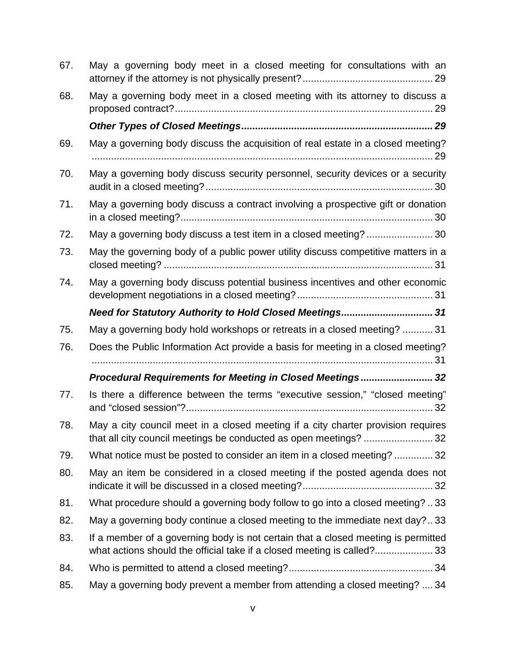| 67. | May a governing body meet in a closed meeting for consultations with an                                                                               |
|-----|-------------------------------------------------------------------------------------------------------------------------------------------------------|
| 68. | May a governing body meet in a closed meeting with its attorney to discuss a                                                                          |
|     |                                                                                                                                                       |
| 69. | May a governing body discuss the acquisition of real estate in a closed meeting?                                                                      |
| 70. | May a governing body discuss security personnel, security devices or a security                                                                       |
| 71. | May a governing body discuss a contract involving a prospective gift or donation                                                                      |
| 72. | May a governing body discuss a test item in a closed meeting?  30                                                                                     |
| 73. | May the governing body of a public power utility discuss competitive matters in a                                                                     |
| 74. | May a governing body discuss potential business incentives and other economic                                                                         |
|     | Need for Statutory Authority to Hold Closed Meetings 31                                                                                               |
| 75. | May a governing body hold workshops or retreats in a closed meeting?  31                                                                              |
| 76. | Does the Public Information Act provide a basis for meeting in a closed meeting?                                                                      |
|     | Procedural Requirements for Meeting in Closed Meetings 32                                                                                             |
| 77. | Is there a difference between the terms "executive session," "closed meeting"                                                                         |
| 78. | May a city council meet in a closed meeting if a city charter provision requires<br>that all city council meetings be conducted as open meetings?  32 |
| 79. | What notice must be posted to consider an item in a closed meeting? 32                                                                                |
| 80. | May an item be considered in a closed meeting if the posted agenda does not                                                                           |
| 81. | What procedure should a governing body follow to go into a closed meeting? 33                                                                         |
| 82. | May a governing body continue a closed meeting to the immediate next day?33                                                                           |
| 83. | If a member of a governing body is not certain that a closed meeting is permitted                                                                     |
|     | what actions should the official take if a closed meeting is called?33                                                                                |
| 84. |                                                                                                                                                       |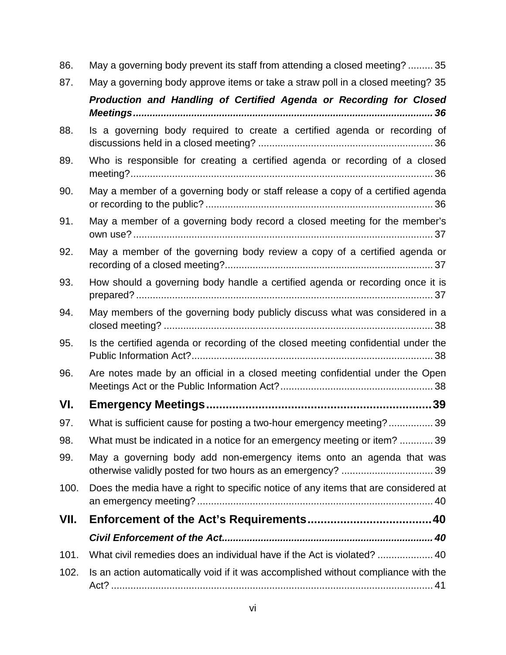| 86.  | May a governing body prevent its staff from attending a closed meeting?  35        |
|------|------------------------------------------------------------------------------------|
| 87.  | May a governing body approve items or take a straw poll in a closed meeting? 35    |
|      | Production and Handling of Certified Agenda or Recording for Closed                |
| 88.  | Is a governing body required to create a certified agenda or recording of          |
| 89.  | Who is responsible for creating a certified agenda or recording of a closed        |
| 90.  | May a member of a governing body or staff release a copy of a certified agenda     |
| 91.  | May a member of a governing body record a closed meeting for the member's          |
| 92.  | May a member of the governing body review a copy of a certified agenda or          |
| 93.  | How should a governing body handle a certified agenda or recording once it is      |
| 94.  | May members of the governing body publicly discuss what was considered in a        |
| 95.  | Is the certified agenda or recording of the closed meeting confidential under the  |
| 96.  | Are notes made by an official in a closed meeting confidential under the Open      |
| VI.  |                                                                                    |
| 97.  | What is sufficient cause for posting a two-hour emergency meeting? 39              |
| 98.  | What must be indicated in a notice for an emergency meeting or item?  39           |
| 99.  | May a governing body add non-emergency items onto an agenda that was               |
| 100. | Does the media have a right to specific notice of any items that are considered at |
| VII. |                                                                                    |
|      |                                                                                    |
| 101. |                                                                                    |
| 102. | Is an action automatically void if it was accomplished without compliance with the |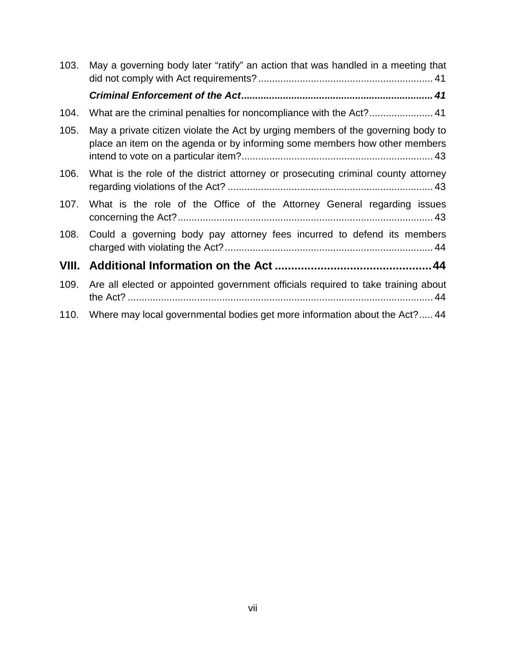| 103.  | May a governing body later "ratify" an action that was handled in a meeting that                                                                               |
|-------|----------------------------------------------------------------------------------------------------------------------------------------------------------------|
|       |                                                                                                                                                                |
| 104.  |                                                                                                                                                                |
| 105.  | May a private citizen violate the Act by urging members of the governing body to<br>place an item on the agenda or by informing some members how other members |
| 106.  | What is the role of the district attorney or prosecuting criminal county attorney                                                                              |
| 107.  | What is the role of the Office of the Attorney General regarding issues                                                                                        |
| 108.  | Could a governing body pay attorney fees incurred to defend its members                                                                                        |
| VIII. |                                                                                                                                                                |
| 109.  | Are all elected or appointed government officials required to take training about                                                                              |
| 110.  | Where may local governmental bodies get more information about the Act?44                                                                                      |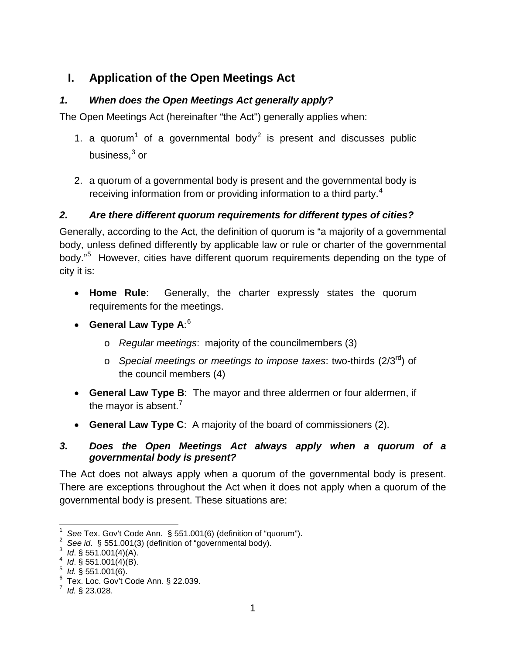## <span id="page-9-0"></span>**I. Application of the Open Meetings Act**

### <span id="page-9-1"></span>*1. When does the Open Meetings Act generally apply?*

The Open Meetings Act (hereinafter "the Act") generally applies when:

- [1](#page-9-4). a quorum<sup>1</sup> of a governmental body<sup>[2](#page-9-5)</sup> is present and discusses public business.<sup>[3](#page-9-6)</sup> or
- 2. a quorum of a governmental body is present and the governmental body is receiving information from or providing information to a third party.<sup>[4](#page-9-7)</sup>

#### <span id="page-9-2"></span>*2. Are there different quorum requirements for different types of cities?*

Generally, according to the Act, the definition of quorum is "a majority of a governmental body, unless defined differently by applicable law or rule or charter of the governmental body."<sup>[5](#page-9-8)</sup> However, cities have different quorum requirements depending on the type of city it is:

- **Home Rule**: Generally, the charter expressly states the quorum requirements for the meetings.
- **General Law Type A**: [6](#page-9-9)
	- o *Regular meetings*: majority of the councilmembers (3)
	- o *Special meetings or meetings to impose taxes*: two-thirds (2/3rd) of the council members (4)
- **General Law Type B**: The mayor and three aldermen or four aldermen, if the mayor is absent.<sup>[7](#page-9-10)</sup>
- **General Law Type C**: A majority of the board of commissioners (2).

#### <span id="page-9-3"></span>*3. Does the Open Meetings Act always apply when a quorum of a governmental body is present?*

The Act does not always apply when a quorum of the governmental body is present. There are exceptions throughout the Act when it does not apply when a quorum of the governmental body is present. These situations are:

<span id="page-9-4"></span> $\frac{1}{1}$ <sup>1</sup> See Tex. Gov't Code Ann.  $\S$  551.001(6) (definition of "quorum").

<span id="page-9-5"></span>*See id.* § 551.001(3) (definition of "governmental body). *Id.* § 551.001(4)(A).

<span id="page-9-6"></span><sup>&</sup>lt;sup>3</sup> Id. § 551.001(4)(A).<br><sup>4</sup> Id. § 551.001(4)(B).

<sup>&</sup>lt;sup>4</sup> Id. § 551.001(4)(B).<br><sup>5</sup> Id. § 551.001(6)

<span id="page-9-8"></span><span id="page-9-7"></span> $1/5$  *Id.* § 551.001(6).

<span id="page-9-9"></span> $6$  Tex. Loc. Gov't Code Ann. § 22.039.

<span id="page-9-10"></span> $^7$  *Id.* § 23.028.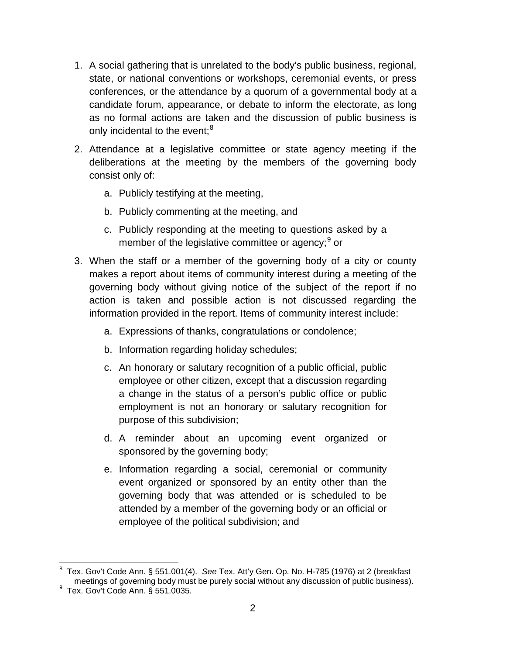- 1. A social gathering that is unrelated to the body's public business, regional, state, or national conventions or workshops, ceremonial events, or press conferences, or the attendance by a quorum of a governmental body at a candidate forum, appearance, or debate to inform the electorate, as long as no formal actions are taken and the discussion of public business is only incidental to the event;<sup>[8](#page-10-0)</sup>
- 2. Attendance at a legislative committee or state agency meeting if the deliberations at the meeting by the members of the governing body consist only of:
	- a. Publicly testifying at the meeting,
	- b. Publicly commenting at the meeting, and
	- c. Publicly responding at the meeting to questions asked by a member of the legislative committee or agency; <sup>[9](#page-10-1)</sup> or
- 3. When the staff or a member of the governing body of a city or county makes a report about items of community interest during a meeting of the governing body without giving notice of the subject of the report if no action is taken and possible action is not discussed regarding the information provided in the report. Items of community interest include:
	- a. Expressions of thanks, congratulations or condolence;
	- b. Information regarding holiday schedules;
	- c. An honorary or salutary recognition of a public official, public employee or other citizen, except that a discussion regarding a change in the status of a person's public office or public employment is not an honorary or salutary recognition for purpose of this subdivision;
	- d. A reminder about an upcoming event organized or sponsored by the governing body;
	- e. Information regarding a social, ceremonial or community event organized or sponsored by an entity other than the governing body that was attended or is scheduled to be attended by a member of the governing body or an official or employee of the political subdivision; and

<span id="page-10-0"></span> <sup>8</sup> Tex. Gov't Code Ann. § 551.001(4). *See* Tex. Att'y Gen. Op. No. H-785 (1976) at 2 (breakfast meetings of governing body must be purely social without any discussion of public business). <sup>9</sup>

<span id="page-10-1"></span> $9$  Tex. Gov't Code Ann. § 551.0035.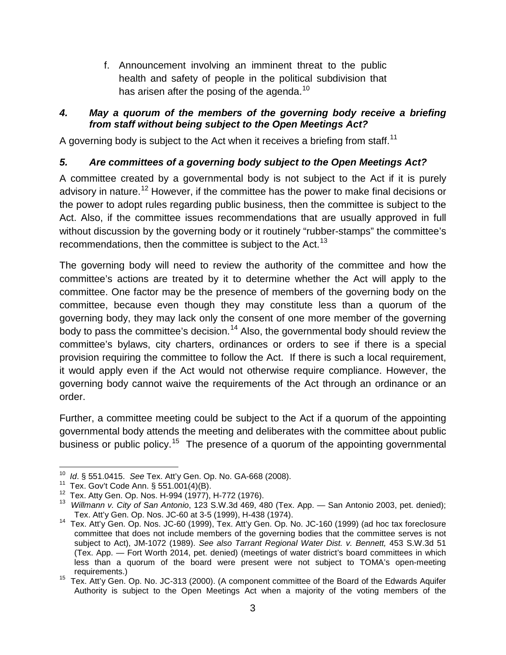f. Announcement involving an imminent threat to the public health and safety of people in the political subdivision that has arisen after the posing of the agenda.<sup>[10](#page-11-2)</sup>

#### <span id="page-11-0"></span>*4. May a quorum of the members of the governing body receive a briefing from staff without being subject to the Open Meetings Act?*

A governing body is subject to the Act when it receives a briefing from staff.<sup>[11](#page-11-3)</sup>

#### <span id="page-11-1"></span>*5. Are committees of a governing body subject to the Open Meetings Act?*

A committee created by a governmental body is not subject to the Act if it is purely advisory in nature.<sup>[12](#page-11-4)</sup> However, if the committee has the power to make final decisions or the power to adopt rules regarding public business, then the committee is subject to the Act. Also, if the committee issues recommendations that are usually approved in full without discussion by the governing body or it routinely "rubber-stamps" the committee's recommendations, then the committee is subject to the Act.<sup>[13](#page-11-5)</sup>

The governing body will need to review the authority of the committee and how the committee's actions are treated by it to determine whether the Act will apply to the committee. One factor may be the presence of members of the governing body on the committee, because even though they may constitute less than a quorum of the governing body, they may lack only the consent of one more member of the governing body to pass the committee's decision.<sup>[14](#page-11-6)</sup> Also, the governmental body should review the committee's bylaws, city charters, ordinances or orders to see if there is a special provision requiring the committee to follow the Act. If there is such a local requirement, it would apply even if the Act would not otherwise require compliance. However, the governing body cannot waive the requirements of the Act through an ordinance or an order.

Further, a committee meeting could be subject to the Act if a quorum of the appointing governmental body attends the meeting and deliberates with the committee about public business or public policy.<sup>[15](#page-11-7)</sup> The presence of a quorum of the appointing governmental

<span id="page-11-5"></span><span id="page-11-4"></span>

<span id="page-11-3"></span><span id="page-11-2"></span><sup>&</sup>lt;sup>10</sup> *Id.* § 551.0415. See Tex. Att'y Gen. Op. No. GA-668 (2008).<br><sup>11</sup> Tex. Gov't Code Ann. § 551.001(4)(B).<br><sup>12</sup> Tex. Atty Gen. Op. Nos. H-994 (1977), H-772 (1976).<br><sup>13</sup> *Willmann v. City of San Antonio*, 123 S.W.3d 469,

<span id="page-11-6"></span><sup>&</sup>lt;sup>14</sup> Tex. Att'y Gen. Op. Nos. JC-60 (1999), Tex. Att'y Gen. Op. No. JC-160 (1999) (ad hoc tax foreclosure committee that does not include members of the governing bodies that the committee serves is not subject to Act), JM-1072 (1989). *See also Tarrant Regional Water Dist. v. Bennett,* 453 S.W.3d 51 (Tex. App. — Fort Worth 2014, pet. denied) (meetings of water district's board committees in which less than a quorum of the board were present were not subject to TOMA's open-meeting

<span id="page-11-7"></span>requirements.) 15 Tex. Att'y Gen. Op. No. JC-313 (2000). (A component committee of the Board of the Edwards Aquifer Authority is subject to the Open Meetings Act when a majority of the voting members of the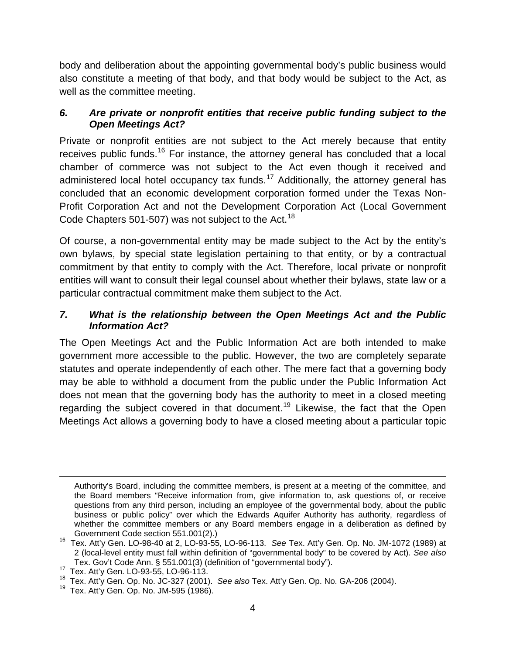body and deliberation about the appointing governmental body's public business would also constitute a meeting of that body, and that body would be subject to the Act, as well as the committee meeting.

#### <span id="page-12-0"></span>*6. Are private or nonprofit entities that receive public funding subject to the Open Meetings Act?*

Private or nonprofit entities are not subject to the Act merely because that entity receives public funds.<sup>[16](#page-12-2)</sup> For instance, the attorney general has concluded that a local chamber of commerce was not subject to the Act even though it received and administered local hotel occupancy tax funds.<sup>[17](#page-12-3)</sup> Additionally, the attorney general has concluded that an economic development corporation formed under the Texas Non-Profit Corporation Act and not the Development Corporation Act (Local Government Code Chapters 501-507) was not subject to the Act.<sup>[18](#page-12-4)</sup>

Of course, a non-governmental entity may be made subject to the Act by the entity's own bylaws, by special state legislation pertaining to that entity, or by a contractual commitment by that entity to comply with the Act. Therefore, local private or nonprofit entities will want to consult their legal counsel about whether their bylaws, state law or a particular contractual commitment make them subject to the Act.

#### <span id="page-12-1"></span>*7. What is the relationship between the Open Meetings Act and the Public Information Act?*

The Open Meetings Act and the Public Information Act are both intended to make government more accessible to the public. However, the two are completely separate statutes and operate independently of each other. The mere fact that a governing body may be able to withhold a document from the public under the Public Information Act does not mean that the governing body has the authority to meet in a closed meeting regarding the subject covered in that document.<sup>[19](#page-12-5)</sup> Likewise, the fact that the Open Meetings Act allows a governing body to have a closed meeting about a particular topic

 $\overline{a}$ 

Authority's Board, including the committee members, is present at a meeting of the committee, and the Board members "Receive information from, give information to, ask questions of, or receive questions from any third person, including an employee of the governmental body, about the public business or public policy" over which the Edwards Aquifer Authority has authority, regardless of whether the committee members or any Board members engage in a deliberation as defined by Government Code section 551.001(2).)

<span id="page-12-2"></span>Government Code section 551.001(2).) 16 Tex. Att'y Gen. LO-98-40 at 2, LO-93-55, LO-96-113. *See* Tex. Att'y Gen. Op. No. JM-1072 (1989) at 2 (local-level entity must fall within definition of "governmental body" to be covered by Act). *See also* Tex. Gov't Code Ann. § 551.001(3) (definition of "governmental body").<br><sup>17</sup> Tex. Att'v Gen. LO-93-55, LO-96-113.

<span id="page-12-4"></span><span id="page-12-3"></span><sup>&</sup>lt;sup>18</sup> Tex. Att'y Gen. Op. No. JC-327 (2001). *See also* Tex. Att'y Gen. Op. No. GA-206 (2004). <sup>19</sup> Tex. Att'y Gen. Op. No. JM-595 (1986).

<span id="page-12-5"></span>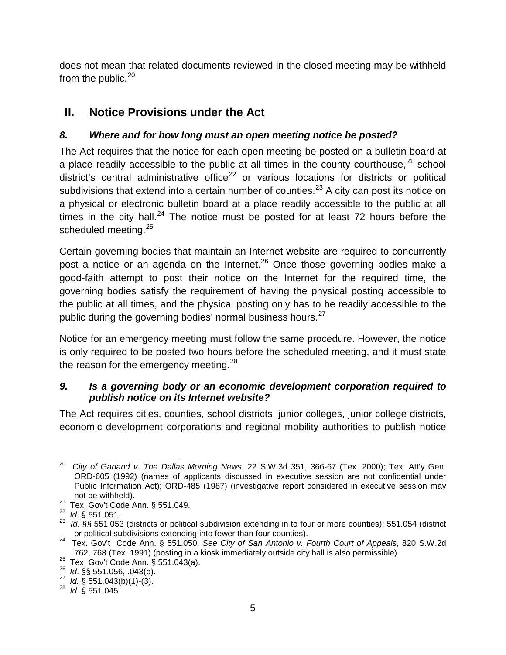does not mean that related documents reviewed in the closed meeting may be withheld from the public. $20$ 

# <span id="page-13-0"></span>**II. Notice Provisions under the Act**

### <span id="page-13-1"></span>*8. Where and for how long must an open meeting notice be posted?*

The Act requires that the notice for each open meeting be posted on a bulletin board at a place readily accessible to the public at all times in the county courthouse,  $21$  school district's central administrative office<sup>[22](#page-13-5)</sup> or various locations for districts or political subdivisions that extend into a certain number of counties.<sup>[23](#page-13-6)</sup> A city can post its notice on a physical or electronic bulletin board at a place readily accessible to the public at all times in the city hall.<sup>[24](#page-13-7)</sup> The notice must be posted for at least 72 hours before the scheduled meeting.<sup>[25](#page-13-8)</sup>

Certain governing bodies that maintain an Internet website are required to concurrently post a notice or an agenda on the Internet.<sup>[26](#page-13-9)</sup> Once those governing bodies make a good-faith attempt to post their notice on the Internet for the required time, the governing bodies satisfy the requirement of having the physical posting accessible to the public at all times, and the physical posting only has to be readily accessible to the public during the governing bodies' normal business hours.<sup>[27](#page-13-10)</sup>

Notice for an emergency meeting must follow the same procedure. However, the notice is only required to be posted two hours before the scheduled meeting, and it must state the reason for the emergency meeting.<sup>[28](#page-13-11)</sup>

#### <span id="page-13-2"></span>*9. Is a governing body or an economic development corporation required to publish notice on its Internet website?*

The Act requires cities, counties, school districts, junior colleges, junior college districts, economic development corporations and regional mobility authorities to publish notice

<span id="page-13-3"></span> <sup>20</sup> *City of Garland v. The Dallas Morning News*, 22 S.W.3d 351, 366-67 (Tex. 2000); Tex. Att'y Gen. ORD-605 (1992) (names of applicants discussed in executive session are not confidential under Public Information Act); ORD-485 (1987) (investigative report considered in executive session may

<span id="page-13-6"></span><span id="page-13-5"></span>

<span id="page-13-4"></span>not be withheld).<br>
<sup>21</sup> Tex. Gov't Code Ann. § 551.049.<br>
<sup>22</sup> *Id.* § 551.051.<br>
<sup>23</sup> *Id.* §§ 551.053 (districts or political subdivision extending in to four or more counties); 551.054 (district or political subdivisions

<span id="page-13-7"></span>or political subdivisions extending into fewer than four counties). 24 Tex. Gov't Code Ann. § 551.050. *See City of San Antonio v. Fourth Court of Appeals*, 820 S.W.2d 762, 768 (Tex. 1991) (posting in a kiosk immediately outside city hall is also permissible).<br><sup>25</sup> Tex. Gov't Code Ann. § 551.043(a).<br>*26 Id.* §§ 551.056, .043(b).<br><sup>27</sup> *Id.* § 551.043(b)(1)-(3).<br><sup>28</sup> *Id.* § 551.045.

<span id="page-13-8"></span>

<span id="page-13-9"></span>

<span id="page-13-10"></span>

<span id="page-13-11"></span>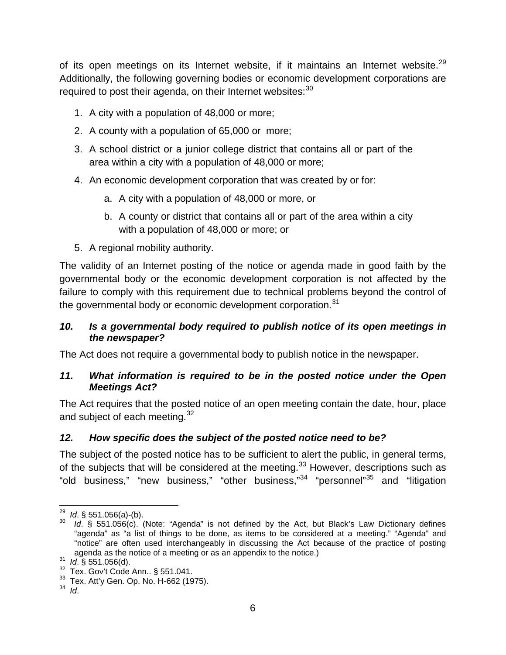of its open meetings on its Internet website, if it maintains an Internet website.<sup>[29](#page-14-3)</sup> Additionally, the following governing bodies or economic development corporations are required to post their agenda, on their Internet websites:<sup>[30](#page-14-4)</sup>

- 1. A city with a population of 48,000 or more;
- 2. A county with a population of 65,000 or more;
- 3. A school district or a junior college district that contains all or part of the area within a city with a population of 48,000 or more;
- 4. An economic development corporation that was created by or for:
	- a. A city with a population of 48,000 or more, or
	- b. A county or district that contains all or part of the area within a city with a population of 48,000 or more; or
- 5. A regional mobility authority.

The validity of an Internet posting of the notice or agenda made in good faith by the governmental body or the economic development corporation is not affected by the failure to comply with this requirement due to technical problems beyond the control of the governmental body or economic development corporation.<sup>[31](#page-14-5)</sup>

#### <span id="page-14-0"></span>*10. Is a governmental body required to publish notice of its open meetings in the newspaper?*

The Act does not require a governmental body to publish notice in the newspaper.

#### <span id="page-14-1"></span>*11. What information is required to be in the posted notice under the Open Meetings Act?*

The Act requires that the posted notice of an open meeting contain the date, hour, place and subject of each meeting.<sup>[32](#page-14-6)</sup>

#### <span id="page-14-2"></span>*12. How specific does the subject of the posted notice need to be?*

<span id="page-14-9"></span>The subject of the posted notice has to be sufficient to alert the public, in general terms, of the subjects that will be considered at the meeting.<sup>[33](#page-14-7)</sup> However, descriptions such as "old business," "new business," "other business,"<sup>[34](#page-14-8)</sup> "personnel"<sup>[35](#page-14-9)</sup> and "litigation

<span id="page-14-4"></span><span id="page-14-3"></span><sup>&</sup>lt;sup>29</sup> *Id*. § 551.056(a)-(b).<br><sup>30</sup> *Id*. § 551.056(c). (Note: "Agenda" is not defined by the Act, but Black's Law Dictionary defines "agenda" as "a list of things to be done, as items to be considered at a meeting." "Agenda" and "notice" are often used interchangeably in discussing the Act because of the practice of posting agenda as the notice of a meeting or as an appendix to the notice.)<br><sup>31</sup>*Id*. § 551.056(d).<br><sup>32</sup> Tex. Gov't Code Ann.. § 551.041.<br><sup>33</sup> Tex. Att'y Gen. Op. No. H-662 (1975).<br><sup>34</sup><sup>Id</sup>.

<span id="page-14-5"></span>

<span id="page-14-6"></span>

<span id="page-14-7"></span>

<span id="page-14-8"></span>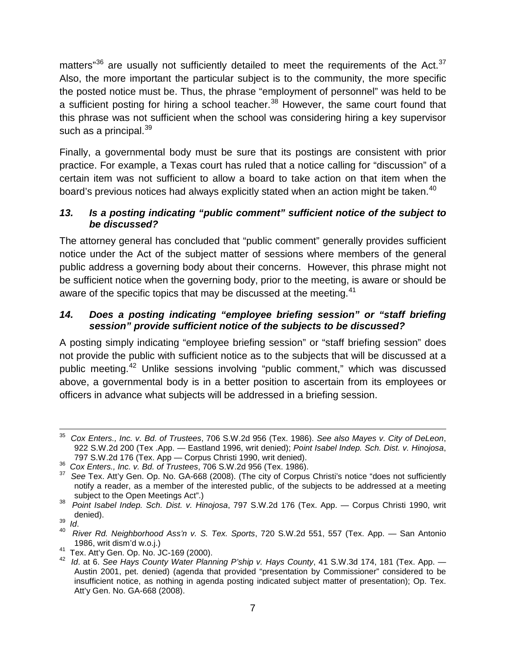matters" $36$  are usually not sufficiently detailed to meet the requirements of the Act.  $37$ Also, the more important the particular subject is to the community, the more specific the posted notice must be. Thus, the phrase "employment of personnel" was held to be a sufficient posting for hiring a school teacher.<sup>[38](#page-15-4)</sup> However, the same court found that this phrase was not sufficient when the school was considering hiring a key supervisor such as a principal.<sup>[39](#page-15-5)</sup>

Finally, a governmental body must be sure that its postings are consistent with prior practice. For example, a Texas court has ruled that a notice calling for "discussion" of a certain item was not sufficient to allow a board to take action on that item when the board's previous notices had always explicitly stated when an action might be taken.<sup>[40](#page-15-6)</sup>

#### <span id="page-15-0"></span>*13. Is a posting indicating "public comment" sufficient notice of the subject to be discussed?*

The attorney general has concluded that "public comment" generally provides sufficient notice under the Act of the subject matter of sessions where members of the general public address a governing body about their concerns. However, this phrase might not be sufficient notice when the governing body, prior to the meeting, is aware or should be aware of the specific topics that may be discussed at the meeting.<sup>[41](#page-15-7)</sup>

#### <span id="page-15-1"></span>*14. Does a posting indicating "employee briefing session" or "staff briefing session" provide sufficient notice of the subjects to be discussed?*

A posting simply indicating "employee briefing session" or "staff briefing session" does not provide the public with sufficient notice as to the subjects that will be discussed at a public meeting.[42](#page-15-8) Unlike sessions involving "public comment," which was discussed above, a governmental body is in a better position to ascertain from its employees or officers in advance what subjects will be addressed in a briefing session.

 <sup>35</sup> *Cox Enters., Inc. v. Bd. of Trustees*, 706 S.W.2d 956 (Tex. 1986). *See also Mayes v. City of DeLeon*, 922 S.W.2d 200 (Tex .App. — Eastland 1996, writ denied); *Point Isabel Indep. Sch. Dist. v. Hinojosa*,

<span id="page-15-3"></span><span id="page-15-2"></span> $^{36}$  Cox Enters., Inc. v. Bd. of Trustees, 706 S.W.2d 956 (Tex. 1986).<br><sup>37</sup> See Tex. Att'y Gen. Op. No. GA-668 (2008). (The city of Corpus Christi's notice "does not sufficiently notify a reader, as a member of the interested public, of the subjects to be addressed at a meeting

<span id="page-15-4"></span>subject to the Open Meetings Act".) <sup>38</sup>*Point Isabel Indep. Sch. Dist. v. Hinojosa*, 797 S.W.2d 176 (Tex. App. — Corpus Christi 1990, writ

<span id="page-15-6"></span>

<span id="page-15-5"></span>denied).<br><sup>39</sup> *Id. River Rd. Neighborhood Ass'n v. S. Tex. Sports*, 720 S.W.2d 551, 557 (Tex. App. — San Antonio<br>1986, writ dism'd w.o.j.)

<span id="page-15-8"></span><span id="page-15-7"></span><sup>&</sup>lt;sup>41</sup> Tex. Att'y Gen. Op. No. JC-169 (2000).<br><sup>42</sup> Id. at 6. See Hays County Water Planning P'ship v. Hays County, 41 S.W.3d 174, 181 (Tex. App. — Austin 2001, pet. denied) (agenda that provided "presentation by Commissioner" considered to be insufficient notice, as nothing in agenda posting indicated subject matter of presentation); Op. Tex. Att'y Gen. No. GA-668 (2008).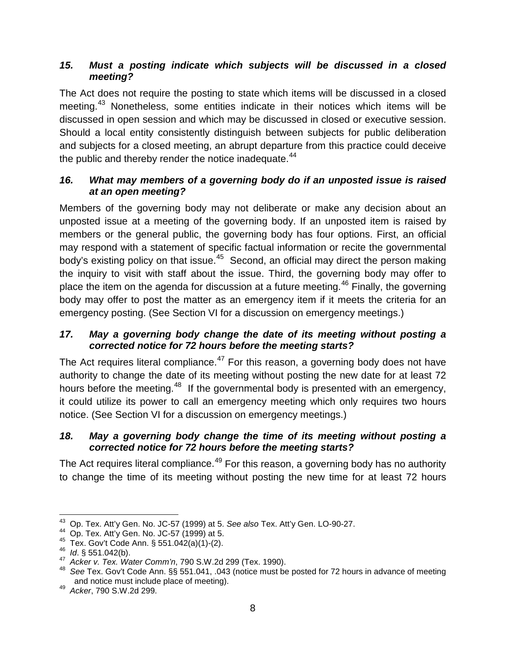#### <span id="page-16-0"></span>*15. Must a posting indicate which subjects will be discussed in a closed meeting?*

The Act does not require the posting to state which items will be discussed in a closed meeting.<sup>[43](#page-16-4)</sup> Nonetheless, some entities indicate in their notices which items will be discussed in open session and which may be discussed in closed or executive session. Should a local entity consistently distinguish between subjects for public deliberation and subjects for a closed meeting, an abrupt departure from this practice could deceive the public and thereby render the notice inadequate. $44$ 

#### <span id="page-16-1"></span>*16. What may members of a governing body do if an unposted issue is raised at an open meeting?*

Members of the governing body may not deliberate or make any decision about an unposted issue at a meeting of the governing body. If an unposted item is raised by members or the general public, the governing body has four options. First, an official may respond with a statement of specific factual information or recite the governmental body's existing policy on that issue.<sup>45</sup> Second, an official may direct the person making the inquiry to visit with staff about the issue. Third, the governing body may offer to place the item on the agenda for discussion at a future meeting.<sup>[46](#page-16-7)</sup> Finally, the governing body may offer to post the matter as an emergency item if it meets the criteria for an emergency posting. (See Section VI for a discussion on emergency meetings.)

#### <span id="page-16-2"></span>*17. May a governing body change the date of its meeting without posting a corrected notice for 72 hours before the meeting starts?*

The Act requires literal compliance.<sup>[47](#page-16-8)</sup> For this reason, a governing body does not have authority to change the date of its meeting without posting the new date for at least 72 hours before the meeting.<sup>48</sup> If the governmental body is presented with an emergency, it could utilize its power to call an emergency meeting which only requires two hours notice. (See Section VI for a discussion on emergency meetings.)

#### <span id="page-16-3"></span>*18. May a governing body change the time of its meeting without posting a corrected notice for 72 hours before the meeting starts?*

The Act requires literal compliance.<sup>[49](#page-16-10)</sup> For this reason, a governing body has no authority to change the time of its meeting without posting the new time for at least 72 hours

<span id="page-16-4"></span> <sup>43</sup> Op. Tex. Att'y Gen. No. JC-57 (1999) at 5. *See also* Tex. Att'y Gen. LO-90-27.

<span id="page-16-9"></span><span id="page-16-8"></span>

<span id="page-16-7"></span><span id="page-16-6"></span><span id="page-16-5"></span><sup>&</sup>lt;sup>45</sup> Tex. Gov't Code Ann. § 551.042(a)(1)-(2).<br><sup>46</sup> *Id.* § 551.042(b).<br><sup>47</sup> Acker v. Tex. Water Comm'n, 790 S.W.2d 299 (Tex. 1990).<br><sup>48</sup> See Tex. Gov't Code Ann. §§ 551.041, .043 (notice must be posted for 72 hours in ad and notice must include place of meeting). <sup>49</sup>*Acker*, 790 S.W.2d 299.

<span id="page-16-10"></span>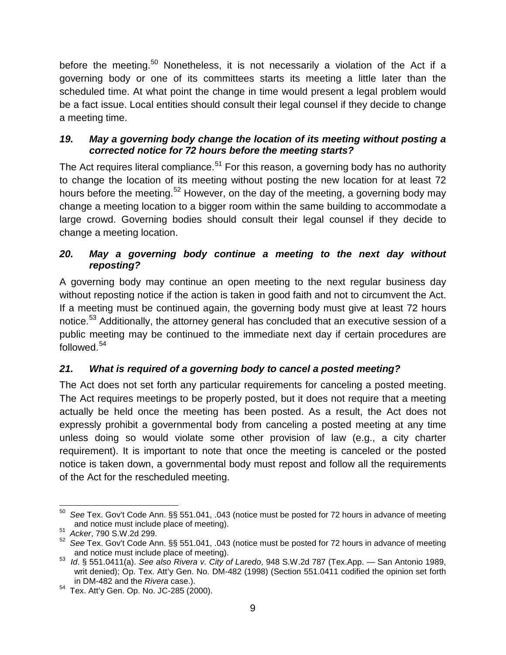before the meeting.<sup>[50](#page-17-3)</sup> Nonetheless, it is not necessarily a violation of the Act if a governing body or one of its committees starts its meeting a little later than the scheduled time. At what point the change in time would present a legal problem would be a fact issue. Local entities should consult their legal counsel if they decide to change a meeting time.

#### <span id="page-17-0"></span>*19. May a governing body change the location of its meeting without posting a corrected notice for 72 hours before the meeting starts?*

The Act requires literal compliance.<sup>[51](#page-17-4)</sup> For this reason, a governing body has no authority to change the location of its meeting without posting the new location for at least 72 hours before the meeting.<sup>[52](#page-17-5)</sup> However, on the day of the meeting, a governing body may change a meeting location to a bigger room within the same building to accommodate a large crowd. Governing bodies should consult their legal counsel if they decide to change a meeting location.

#### <span id="page-17-1"></span>*20. May a governing body continue a meeting to the next day without reposting?*

A governing body may continue an open meeting to the next regular business day without reposting notice if the action is taken in good faith and not to circumvent the Act. If a meeting must be continued again, the governing body must give at least 72 hours notice.<sup>[53](#page-17-6)</sup> Additionally, the attorney general has concluded that an executive session of a public meeting may be continued to the immediate next day if certain procedures are followed.<sup>[54](#page-17-7)</sup>

### <span id="page-17-2"></span>*21. What is required of a governing body to cancel a posted meeting?*

The Act does not set forth any particular requirements for canceling a posted meeting. The Act requires meetings to be properly posted, but it does not require that a meeting actually be held once the meeting has been posted. As a result, the Act does not expressly prohibit a governmental body from canceling a posted meeting at any time unless doing so would violate some other provision of law (e.g., a city charter requirement). It is important to note that once the meeting is canceled or the posted notice is taken down, a governmental body must repost and follow all the requirements of the Act for the rescheduled meeting.

<span id="page-17-3"></span> <sup>50</sup> *See* Tex. Gov't Code Ann. §§ 551.041, .043 (notice must be posted for 72 hours in advance of meeting and notice must include place of meeting). <sup>51</sup>*Acker*, 790 S.W.2d 299.

<span id="page-17-5"></span><span id="page-17-4"></span><sup>52</sup> *See* Tex. Gov't Code Ann. §§ 551.041, .043 (notice must be posted for 72 hours in advance of meeting

<span id="page-17-6"></span>and notice must include place of meeting). <sup>53</sup>*Id*. § 551.0411(a). *See also Rivera v. City of Laredo*, 948 S.W.2d 787 (Tex.App. — San Antonio 1989, writ denied); Op. Tex. Att'y Gen. No. DM-482 (1998) (Section 551.0411 codified the opinion set forth in DM-482 and the Rivera case.).

<span id="page-17-7"></span><sup>&</sup>lt;sup>54</sup> Tex. Att'y Gen. Op. No. JC-285 (2000).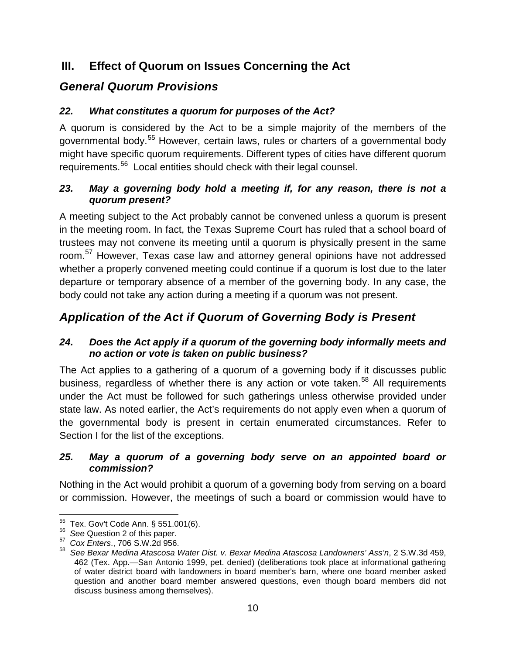### <span id="page-18-0"></span>**III. Effect of Quorum on Issues Concerning the Act**

# <span id="page-18-1"></span>*General Quorum Provisions*

### <span id="page-18-2"></span>*22. What constitutes a quorum for purposes of the Act?*

A quorum is considered by the Act to be a simple majority of the members of the governmental body.[55](#page-18-7) However, certain laws, rules or charters of a governmental body might have specific quorum requirements. Different types of cities have different quorum requirements.[56](#page-18-8) Local entities should check with their legal counsel.

#### <span id="page-18-3"></span>*23. May a governing body hold a meeting if, for any reason, there is not a quorum present?*

A meeting subject to the Act probably cannot be convened unless a quorum is present in the meeting room. In fact, the Texas Supreme Court has ruled that a school board of trustees may not convene its meeting until a quorum is physically present in the same room.[57](#page-18-9) However, Texas case law and attorney general opinions have not addressed whether a properly convened meeting could continue if a quorum is lost due to the later departure or temporary absence of a member of the governing body. In any case, the body could not take any action during a meeting if a quorum was not present.

# <span id="page-18-4"></span>*Application of the Act if Quorum of Governing Body is Present*

#### <span id="page-18-5"></span>*24. Does the Act apply if a quorum of the governing body informally meets and no action or vote is taken on public business?*

The Act applies to a gathering of a quorum of a governing body if it discusses public business, regardless of whether there is any action or vote taken.<sup>[58](#page-18-10)</sup> All requirements under the Act must be followed for such gatherings unless otherwise provided under state law. As noted earlier, the Act's requirements do not apply even when a quorum of the governmental body is present in certain enumerated circumstances. Refer to Section I for the list of the exceptions.

#### <span id="page-18-6"></span>*25. May a quorum of a governing body serve on an appointed board or commission?*

Nothing in the Act would prohibit a quorum of a governing body from serving on a board or commission. However, the meetings of such a board or commission would have to

<span id="page-18-8"></span><span id="page-18-7"></span> <sup>55</sup> Tex. Gov't Code Ann. § 551.001(6). <sup>56</sup>*See* Question 2 of this paper. <sup>57</sup>*Cox Enters*., 706 S.W.2d 956.

<span id="page-18-10"></span><span id="page-18-9"></span><sup>58</sup> *See Bexar Medina Atascosa Water Dist. v. Bexar Medina Atascosa Landowners' Ass'n*, 2 S.W.3d 459, 462 (Tex. App.—San Antonio 1999, pet. denied) (deliberations took place at informational gathering of water district board with landowners in board member's barn, where one board member asked question and another board member answered questions, even though board members did not discuss business among themselves).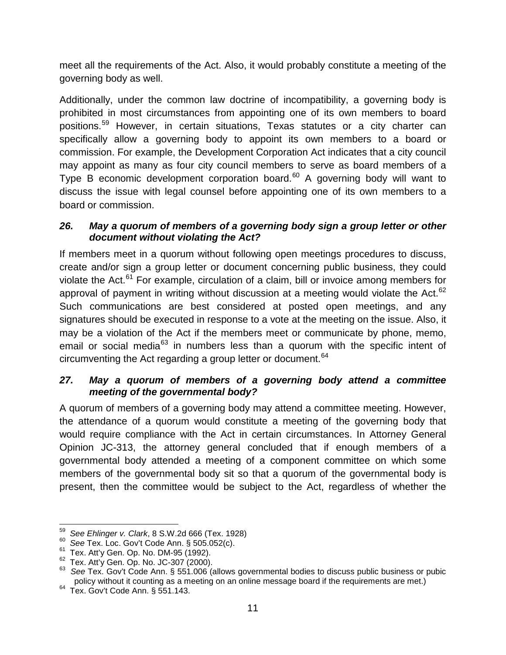meet all the requirements of the Act. Also, it would probably constitute a meeting of the governing body as well.

Additionally, under the common law doctrine of incompatibility, a governing body is prohibited in most circumstances from appointing one of its own members to board positions.[59](#page-19-2) However, in certain situations, Texas statutes or a city charter can specifically allow a governing body to appoint its own members to a board or commission. For example, the Development Corporation Act indicates that a city council may appoint as many as four city council members to serve as board members of a Type B economic development corporation board.<sup>[60](#page-19-3)</sup> A governing body will want to discuss the issue with legal counsel before appointing one of its own members to a board or commission.

#### <span id="page-19-0"></span>*26. May a quorum of members of a governing body sign a group letter or other document without violating the Act?*

If members meet in a quorum without following open meetings procedures to discuss, create and/or sign a group letter or document concerning public business, they could violate the Act.<sup>[61](#page-19-4)</sup> For example, circulation of a claim, bill or invoice among members for approval of payment in writing without discussion at a meeting would violate the Act. $62$ Such communications are best considered at posted open meetings, and any signatures should be executed in response to a vote at the meeting on the issue. Also, it may be a violation of the Act if the members meet or communicate by phone, memo, email or social media<sup>[63](#page-19-6)</sup> in numbers less than a quorum with the specific intent of circumventing the Act regarding a group letter or document.<sup>[64](#page-19-7)</sup>

#### <span id="page-19-1"></span>*27. May a quorum of members of a governing body attend a committee meeting of the governmental body?*

A quorum of members of a governing body may attend a committee meeting. However, the attendance of a quorum would constitute a meeting of the governing body that would require compliance with the Act in certain circumstances. In Attorney General Opinion JC-313, the attorney general concluded that if enough members of a governmental body attended a meeting of a component committee on which some members of the governmental body sit so that a quorum of the governmental body is present, then the committee would be subject to the Act, regardless of whether the

<span id="page-19-4"></span>

<span id="page-19-6"></span><span id="page-19-5"></span>

<span id="page-19-3"></span><span id="page-19-2"></span><sup>&</sup>lt;sup>59</sup> See Ehlinger v. Clark, 8 S.W.2d 666 (Tex. 1928)<br><sup>60</sup> See Tex. Loc. Gov't Code Ann. § 505.052(c).<br><sup>61</sup> Tex. Att'y Gen. Op. No. DM-95 (1992).<br><sup>62</sup> Tex. Att'y Gen. Op. No. JC-307 (2000).<br><sup>63</sup> See Tex. Gov't Code Ann. § policy without it counting as a meeting on an online message board if the requirements are met.) Tex. Gov't Code Ann. § 551.143.

<span id="page-19-7"></span>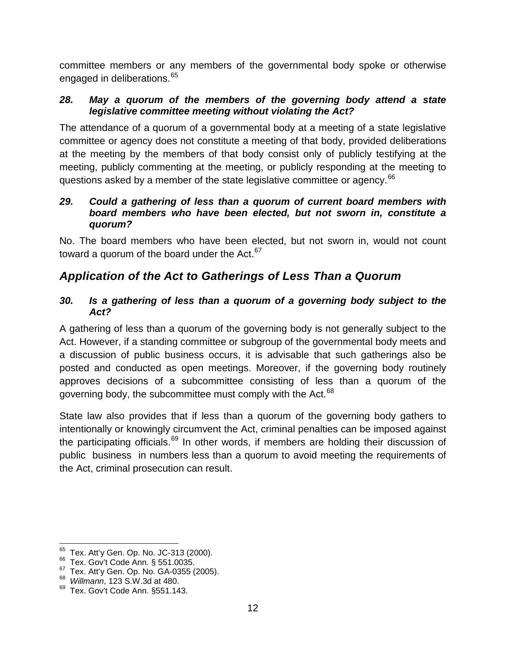committee members or any members of the governmental body spoke or otherwise engaged in deliberations.<sup>[65](#page-20-4)</sup>

#### <span id="page-20-0"></span>*28. May a quorum of the members of the governing body attend a state legislative committee meeting without violating the Act?*

The attendance of a quorum of a governmental body at a meeting of a state legislative committee or agency does not constitute a meeting of that body, provided deliberations at the meeting by the members of that body consist only of publicly testifying at the meeting, publicly commenting at the meeting, or publicly responding at the meeting to questions asked by a member of the state legislative committee or agency.<sup>[66](#page-20-5)</sup>

#### <span id="page-20-1"></span>*29. Could a gathering of less than a quorum of current board members with board members who have been elected, but not sworn in, constitute a quorum?*

No. The board members who have been elected, but not sworn in, would not count toward a quorum of the board under the Act. $67$ 

# <span id="page-20-2"></span>*Application of the Act to Gatherings of Less Than a Quorum*

#### <span id="page-20-3"></span>*30. Is a gathering of less than a quorum of a governing body subject to the Act?*

A gathering of less than a quorum of the governing body is not generally subject to the Act. However, if a standing committee or subgroup of the governmental body meets and a discussion of public business occurs, it is advisable that such gatherings also be posted and conducted as open meetings. Moreover, if the governing body routinely approves decisions of a subcommittee consisting of less than a quorum of the governing body, the subcommittee must comply with the Act.<sup>[68](#page-20-7)</sup>

State law also provides that if less than a quorum of the governing body gathers to intentionally or knowingly circumvent the Act, criminal penalties can be imposed against the participating officials.<sup>[69](#page-20-8)</sup> In other words, if members are holding their discussion of public business in numbers less than a quorum to avoid meeting the requirements of the Act, criminal prosecution can result.

<span id="page-20-4"></span> $65$  Tex. Att'y Gen. Op. No. JC-313 (2000).<br> $66$  Tex. Gov't Code Ann. § 551.0035.

<span id="page-20-5"></span>

<span id="page-20-6"></span><sup>67</sup> Tex. Att'y Gen. Op. No. GA-0355 (2005). <sup>68</sup>*Willmann*, 123 S.W.3d at 480.

<span id="page-20-7"></span>

<span id="page-20-8"></span><sup>&</sup>lt;sup>69</sup> Tex. Gov't Code Ann. §551.143.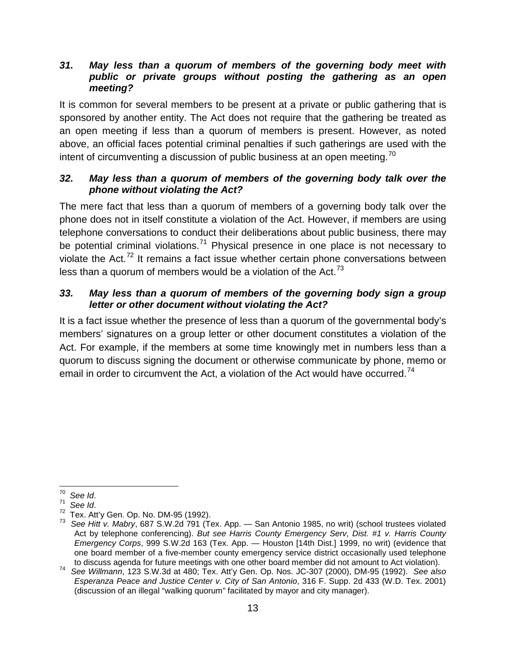#### <span id="page-21-0"></span>*31. May less than a quorum of members of the governing body meet with public or private groups without posting the gathering as an open meeting?*

It is common for several members to be present at a private or public gathering that is sponsored by another entity. The Act does not require that the gathering be treated as an open meeting if less than a quorum of members is present. However, as noted above, an official faces potential criminal penalties if such gatherings are used with the intent of circumventing a discussion of public business at an open meeting.<sup>[70](#page-21-3)</sup>

#### <span id="page-21-1"></span>*32. May less than a quorum of members of the governing body talk over the phone without violating the Act?*

The mere fact that less than a quorum of members of a governing body talk over the phone does not in itself constitute a violation of the Act. However, if members are using telephone conversations to conduct their deliberations about public business, there may be potential criminal violations.<sup>[71](#page-21-4)</sup> Physical presence in one place is not necessary to violate the Act.<sup>[72](#page-21-5)</sup> It remains a fact issue whether certain phone conversations between less than a quorum of members would be a violation of the Act. $73$ 

#### <span id="page-21-2"></span>*33. May less than a quorum of members of the governing body sign a group letter or other document without violating the Act?*

It is a fact issue whether the presence of less than a quorum of the governmental body's members' signatures on a group letter or other document constitutes a violation of the Act. For example, if the members at some time knowingly met in numbers less than a quorum to discuss signing the document or otherwise communicate by phone, memo or email in order to circumvent the Act, a violation of the Act would have occurred.<sup>[74](#page-21-7)</sup>

<span id="page-21-6"></span><span id="page-21-5"></span>

<span id="page-21-4"></span><span id="page-21-3"></span><sup>&</sup>lt;sup>70</sup> See Id.<br><sup>71</sup> See Id.<br><sup>72</sup> Tex. Att'y Gen. Op. No. DM-95 (1992).<br><sup>73</sup> See Hitt v. Mabry, 687 S.W.2d 791 (Tex. App. — San Antonio 1985, no writ) (school trustees violated Act by telephone conferencing). *But see Harris County Emergency Serv, Dist. #1 v. Harris County Emergency Corps*, 999 S.W.2d 163 (Tex. App. — Houston [14th Dist.] 1999, no writ) (evidence that one board member of a five-member county emergency service district occasionally used telephone to discuss agenda for future meetings with one other board member did not amount to Act violation).

<span id="page-21-7"></span>to discuss agenda for future meetings with one other board member did not amount to Act violation). <sup>74</sup>*See Willmann*, 123 S.W.3d at 480; Tex. Att'y Gen. Op. Nos. JC-307 (2000), DM-95 (1992). *See also Esperanza Peace and Justice Center v. City of San Antonio*, 316 F. Supp. 2d 433 (W.D. Tex. 2001) (discussion of an illegal "walking quorum" facilitated by mayor and city manager).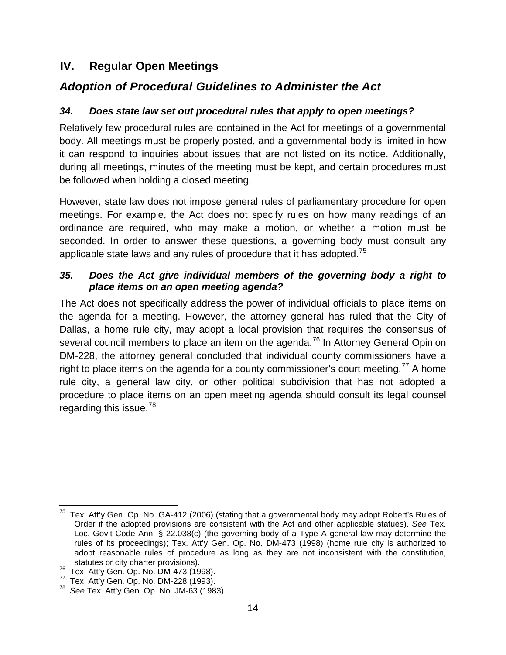### <span id="page-22-0"></span>**IV. Regular Open Meetings**

### <span id="page-22-1"></span>*Adoption of Procedural Guidelines to Administer the Act*

#### <span id="page-22-2"></span>*34. Does state law set out procedural rules that apply to open meetings?*

Relatively few procedural rules are contained in the Act for meetings of a governmental body. All meetings must be properly posted, and a governmental body is limited in how it can respond to inquiries about issues that are not listed on its notice. Additionally, during all meetings, minutes of the meeting must be kept, and certain procedures must be followed when holding a closed meeting.

However, state law does not impose general rules of parliamentary procedure for open meetings. For example, the Act does not specify rules on how many readings of an ordinance are required, who may make a motion, or whether a motion must be seconded. In order to answer these questions, a governing body must consult any applicable state laws and any rules of procedure that it has adopted.<sup>[75](#page-22-4)</sup>

#### <span id="page-22-3"></span>*35. Does the Act give individual members of the governing body a right to place items on an open meeting agenda?*

The Act does not specifically address the power of individual officials to place items on the agenda for a meeting. However, the attorney general has ruled that the City of Dallas, a home rule city, may adopt a local provision that requires the consensus of several council members to place an item on the agenda.<sup>[76](#page-22-5)</sup> In Attorney General Opinion DM-228, the attorney general concluded that individual county commissioners have a right to place items on the agenda for a county commissioner's court meeting.<sup>[77](#page-22-6)</sup> A home rule city, a general law city, or other political subdivision that has not adopted a procedure to place items on an open meeting agenda should consult its legal counsel regarding this issue.<sup>[78](#page-22-7)</sup>

<span id="page-22-4"></span> $75$  Tex. Att'v Gen. Op. No. GA-412 (2006) (stating that a governmental body may adopt Robert's Rules of Order if the adopted provisions are consistent with the Act and other applicable statues). *See* Tex. Loc. Gov't Code Ann. § 22.038(c) (the governing body of a Type A general law may determine the rules of its proceedings); Tex. Att'y Gen. Op. No. DM-473 (1998) (home rule city is authorized to adopt reasonable rules of procedure as long as they are not inconsistent with the constitution,

<span id="page-22-5"></span>

<span id="page-22-7"></span><span id="page-22-6"></span>

statutes or city charter provisions).<br><sup>76</sup> Tex. Att'y Gen. Op. No. DM-473 (1998).<br><sup>77</sup> Tex. Att'y Gen. Op. No. DM-228 (1993).<br><sup>78</sup> See Tex. Att'y Gen. Op. No. JM-63 (1983).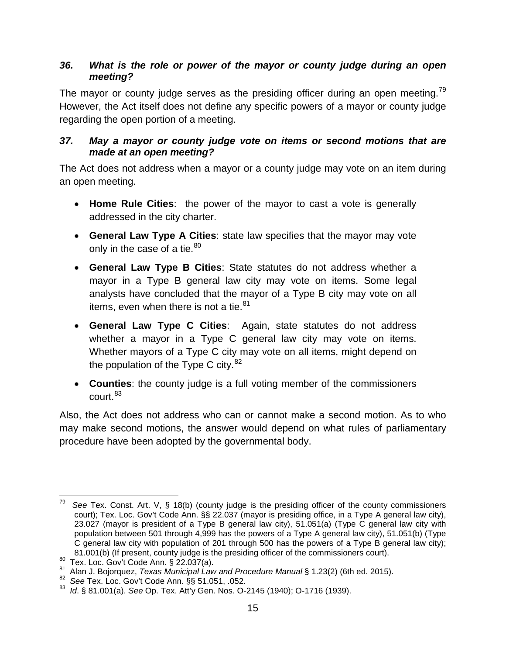#### <span id="page-23-0"></span>*36. What is the role or power of the mayor or county judge during an open meeting?*

The mayor or county judge serves as the presiding officer during an open meeting.<sup>[79](#page-23-2)</sup> However, the Act itself does not define any specific powers of a mayor or county judge regarding the open portion of a meeting.

#### <span id="page-23-1"></span>*37. May a mayor or county judge vote on items or second motions that are made at an open meeting?*

The Act does not address when a mayor or a county judge may vote on an item during an open meeting.

- **Home Rule Cities**: the power of the mayor to cast a vote is generally addressed in the city charter.
- **General Law Type A Cities**: state law specifies that the mayor may vote only in the case of a tie. $80<sup>80</sup>$  $80<sup>80</sup>$
- **General Law Type B Cities**: State statutes do not address whether a mayor in a Type B general law city may vote on items. Some legal analysts have concluded that the mayor of a Type B city may vote on all items, even when there is not a tie. $81$
- **General Law Type C Cities**: Again, state statutes do not address whether a mayor in a Type C general law city may vote on items. Whether mayors of a Type C city may vote on all items, might depend on the population of the Type C city. $82$
- **Counties**: the county judge is a full voting member of the commissioners  $c$ ourt. $83$

Also, the Act does not address who can or cannot make a second motion. As to who may make second motions, the answer would depend on what rules of parliamentary procedure have been adopted by the governmental body.

<span id="page-23-2"></span>See Tex. Const. Art. V, § 18(b) (county judge is the presiding officer of the county commissioners court); Tex. Loc. Gov't Code Ann. §§ 22.037 (mayor is presiding office, in a Type A general law city), 23.027 (mayor is president of a Type B general law city), 51.051(a) (Type C general law city with population between 501 through 4,999 has the powers of a Type A general law city), 51.051(b) (Type C general law city with population of 201 through 500 has the powers of a Type B general law city);<br>81.001(b) (If present, county judge is the presiding officer of the commissioners court).

<span id="page-23-4"></span><span id="page-23-3"></span> $80$ <br>
Tex. Loc. Gov't Code Ann. § 22.037(a).<br>  $81$  Alan J. Bojorquez, *Texas Municipal Law and Procedure Manual* § 1.23(2) (6th ed. 2015).<br>  $82$  See Tex. Loc. Gov't Code Ann. §§ 51.051, .052.

<span id="page-23-6"></span><span id="page-23-5"></span><sup>83</sup> *Id*. § 81.001(a). *See* Op. Tex. Att'y Gen. Nos. O-2145 (1940); O-1716 (1939).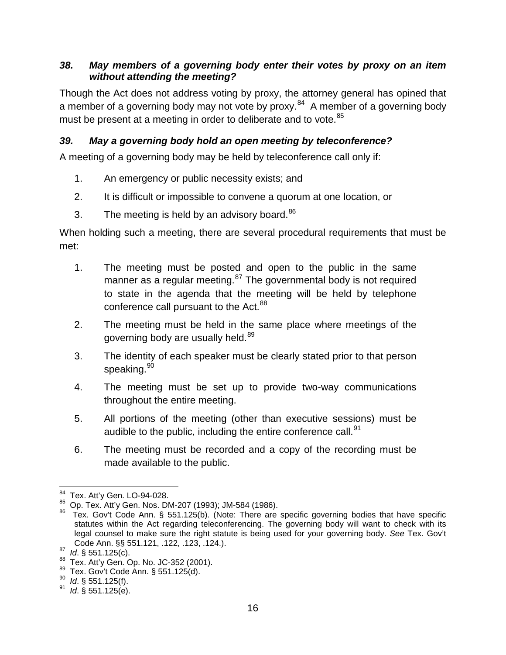#### <span id="page-24-0"></span>*38. May members of a governing body enter their votes by proxy on an item without attending the meeting?*

Though the Act does not address voting by proxy, the attorney general has opined that a member of a governing body may not vote by proxy.<sup>84</sup> A member of a governing body must be present at a meeting in order to deliberate and to vote.<sup>[85](#page-24-3)</sup>

#### <span id="page-24-1"></span>*39. May a governing body hold an open meeting by teleconference?*

A meeting of a governing body may be held by teleconference call only if:

- 1. An emergency or public necessity exists; and
- 2. It is difficult or impossible to convene a quorum at one location, or
- 3. The meeting is held by an advisory board. $86$

When holding such a meeting, there are several procedural requirements that must be met:

- 1. The meeting must be posted and open to the public in the same manner as a regular meeting.<sup>[87](#page-24-5)</sup> The governmental body is not required to state in the agenda that the meeting will be held by telephone conference call pursuant to the Act.<sup>[88](#page-24-6)</sup>
- 2. The meeting must be held in the same place where meetings of the governing body are usually held.<sup>[89](#page-24-7)</sup>
- 3. The identity of each speaker must be clearly stated prior to that person speaking.<sup>[90](#page-24-8)</sup>
- 4. The meeting must be set up to provide two-way communications throughout the entire meeting.
- 5. All portions of the meeting (other than executive sessions) must be audible to the public, including the entire conference call. $91$
- 6. The meeting must be recorded and a copy of the recording must be made available to the public.

<span id="page-24-2"></span> $^{84}$  Tex. Att'y Gen. LO-94-028.<br> $^{85}$  Op. Tex. Att'y Gen. Nos. DM-207 (1993); JM-584 (1986).

<span id="page-24-4"></span><span id="page-24-3"></span> $86$  Tex. Gov't Code Ann. § 551.125(b). (Note: There are specific governing bodies that have specific statutes within the Act regarding teleconferencing. The governing body will want to check with its legal counsel to make sure the right statute is being used for your governing body. *See* Tex. Gov't

<span id="page-24-6"></span><span id="page-24-5"></span><sup>&</sup>lt;sup>87</sup> Id. § 551.125(c).<br><sup>88</sup> Tex. Att'y Gen. Op. No. JC-352 (2001).<br><sup>89</sup> Tex. Gov't Code Ann. § 551.125(d).<br><sup>90</sup> Id. § 551.125(f). <sup>91</sup> Id. § 551.125(e).

<span id="page-24-7"></span>

<span id="page-24-8"></span>

<span id="page-24-9"></span>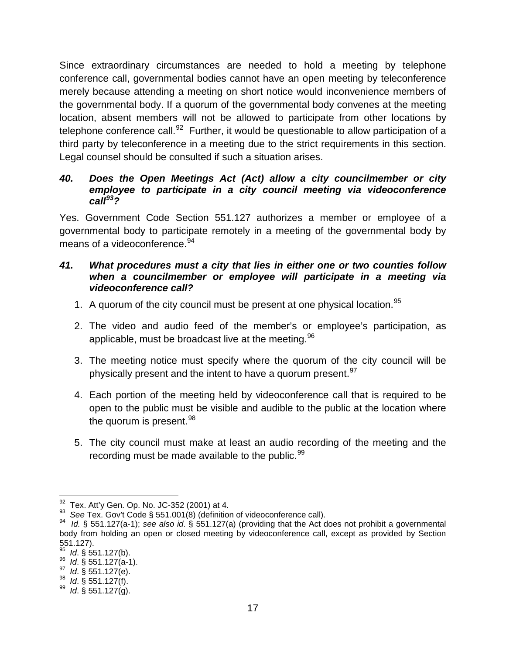Since extraordinary circumstances are needed to hold a meeting by telephone conference call, governmental bodies cannot have an open meeting by teleconference merely because attending a meeting on short notice would inconvenience members of the governmental body. If a quorum of the governmental body convenes at the meeting location, absent members will not be allowed to participate from other locations by telephone conference call.<sup>[92](#page-25-2)</sup> Further, it would be questionable to allow participation of a third party by teleconference in a meeting due to the strict requirements in this section. Legal counsel should be consulted if such a situation arises.

#### <span id="page-25-0"></span>*40. Does the Open Meetings Act (Act) allow a city councilmember or city employee to participate in a city council meeting via videoconference call[93](#page-25-3)?*

Yes. Government Code Section 551.127 authorizes a member or employee of a governmental body to participate remotely in a meeting of the governmental body by means of a videoconference.<sup>[94](#page-25-4)</sup>

#### <span id="page-25-1"></span>*41. What procedures must a city that lies in either one or two counties follow when a councilmember or employee will participate in a meeting via videoconference call?*

- 1. A quorum of the city council must be present at one physical location.<sup>[95](#page-25-5)</sup>
- 2. The video and audio feed of the member's or employee's participation, as applicable, must be broadcast live at the meeting.  $96$
- 3. The meeting notice must specify where the quorum of the city council will be physically present and the intent to have a quorum present.  $97$
- 4. Each portion of the meeting held by videoconference call that is required to be open to the public must be visible and audible to the public at the location where the quorum is present.  $98$
- 5. The city council must make at least an audio recording of the meeting and the recording must be made available to the public.  $99$

<span id="page-25-4"></span>

<span id="page-25-3"></span><span id="page-25-2"></span><sup>&</sup>lt;sup>92</sup> Tex. Att'y Gen. Op. No. JC-352 (2001) at 4.<br><sup>93</sup> See Tex. Gov't Code § 551.001(8) (definition of videoconference call).<br><sup>94</sup> Id. § 551.127(a-1); see also id. § 551.127(a) (providing that the Act does not prohibit a g body from holding an open or closed meeting by videoconference call, except as provided by Section 551.127).

<span id="page-25-6"></span><span id="page-25-5"></span><sup>95&</sup>lt;br> *Id.* § 551.127(a-1).<br>
97*Id.* § 551.127(e).<br>
98*Id.* § 551.127(f).<br>
99*Id.* § 551.127(g).

<span id="page-25-7"></span>

<span id="page-25-8"></span>

<span id="page-25-9"></span>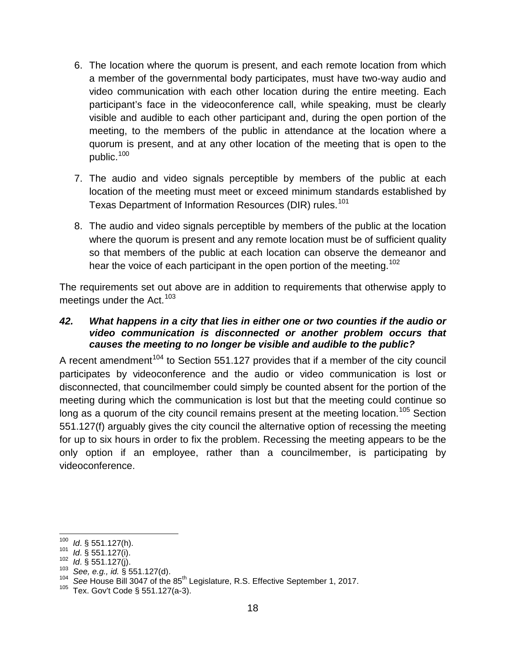- 6. The location where the quorum is present, and each remote location from which a member of the governmental body participates, must have two-way audio and video communication with each other location during the entire meeting. Each participant's face in the videoconference call, while speaking, must be clearly visible and audible to each other participant and, during the open portion of the meeting, to the members of the public in attendance at the location where a quorum is present, and at any other location of the meeting that is open to the public.<sup>[100](#page-26-1)</sup>
- 7. The audio and video signals perceptible by members of the public at each location of the meeting must meet or exceed minimum standards established by Texas Department of Information Resources (DIR) rules.<sup>[101](#page-26-2)</sup>
- 8. The audio and video signals perceptible by members of the public at the location where the quorum is present and any remote location must be of sufficient quality so that members of the public at each location can observe the demeanor and hear the voice of each participant in the open portion of the meeting.<sup>[102](#page-26-3)</sup>

The requirements set out above are in addition to requirements that otherwise apply to meetings under the Act.  $103$ 

#### <span id="page-26-0"></span>*42. What happens in a city that lies in either one or two counties if the audio or video communication is disconnected or another problem occurs that causes the meeting to no longer be visible and audible to the public?*

A recent amendment<sup>[104](#page-26-5)</sup> to Section 551.127 provides that if a member of the city council participates by videoconference and the audio or video communication is lost or disconnected, that councilmember could simply be counted absent for the portion of the meeting during which the communication is lost but that the meeting could continue so long as a quorum of the city council remains present at the meeting location.<sup>[105](#page-26-6)</sup> Section 551.127(f) arguably gives the city council the alternative option of recessing the meeting for up to six hours in order to fix the problem. Recessing the meeting appears to be the only option if an employee, rather than a councilmember, is participating by videoconference.

<span id="page-26-3"></span>

<span id="page-26-5"></span><span id="page-26-4"></span>

<span id="page-26-2"></span><span id="page-26-1"></span><sup>&</sup>lt;sup>100</sup> *Id.* § 551.127(h).<br>
<sup>101</sup> *Id.* § 551.127(i).<br>
<sup>102</sup> *Id.* § 551.127(j).<br>
<sup>103</sup> See, e.g., *id.* § 551.127(d).<br>
<sup>104</sup> See House Bill 3047 of the 85<sup>th</sup> Legislature, R.S. Effective September 1, 2017.<br>
<sup>105</sup> Tex. Gov

<span id="page-26-6"></span>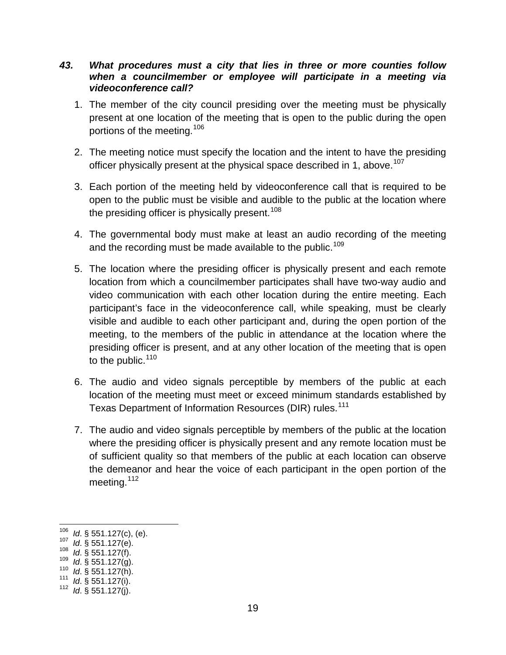#### <span id="page-27-0"></span>*43. What procedures must a city that lies in three or more counties follow when a councilmember or employee will participate in a meeting via videoconference call?*

- 1. The member of the city council presiding over the meeting must be physically present at one location of the meeting that is open to the public during the open portions of the meeting.<sup>[106](#page-27-1)</sup>
- 2. The meeting notice must specify the location and the intent to have the presiding officer physically present at the physical space described in 1, above.<sup>[107](#page-27-2)</sup>
- 3. Each portion of the meeting held by videoconference call that is required to be open to the public must be visible and audible to the public at the location where the presiding officer is physically present.<sup>[108](#page-27-3)</sup>
- 4. The governmental body must make at least an audio recording of the meeting and the recording must be made available to the public.<sup>[109](#page-27-4)</sup>
- 5. The location where the presiding officer is physically present and each remote location from which a councilmember participates shall have two-way audio and video communication with each other location during the entire meeting. Each participant's face in the videoconference call, while speaking, must be clearly visible and audible to each other participant and, during the open portion of the meeting, to the members of the public in attendance at the location where the presiding officer is present, and at any other location of the meeting that is open to the public.  $110$
- 6. The audio and video signals perceptible by members of the public at each location of the meeting must meet or exceed minimum standards established by Texas Department of Information Resources (DIR) rules.<sup>[111](#page-27-6)</sup>
- 7. The audio and video signals perceptible by members of the public at the location where the presiding officer is physically present and any remote location must be of sufficient quality so that members of the public at each location can observe the demeanor and hear the voice of each participant in the open portion of the meeting.  $112$

- 
- <span id="page-27-3"></span>

<span id="page-27-6"></span>

<span id="page-27-2"></span><span id="page-27-1"></span><sup>106</sup>*Id.* § 551.127(c), (e). 107*Id.* § 551.127(e). 108*Id.* § 551.127(f). 109*Id.* § 551.127(j). 111*Id.* § 551.127(j). 112*Id.* § 551.127(j).

<span id="page-27-4"></span>

<span id="page-27-5"></span>

<span id="page-27-7"></span>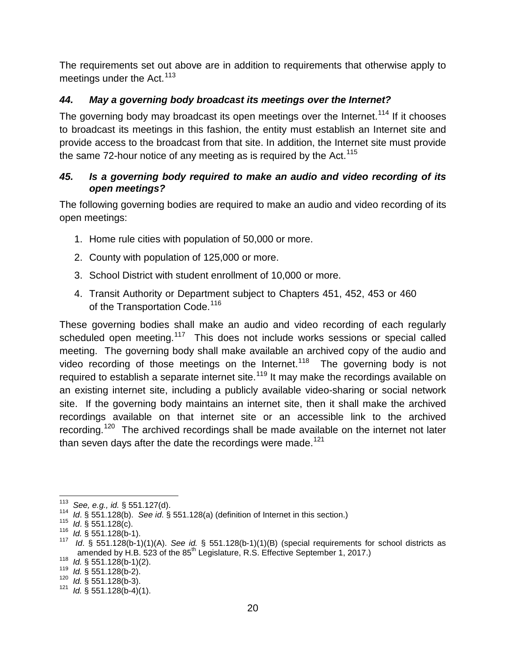The requirements set out above are in addition to requirements that otherwise apply to meetings under the Act.  $113$ 

### <span id="page-28-0"></span>*44. May a governing body broadcast its meetings over the Internet?*

The governing body may broadcast its open meetings over the Internet.<sup>[114](#page-28-3)</sup> If it chooses to broadcast its meetings in this fashion, the entity must establish an Internet site and provide access to the broadcast from that site. In addition, the Internet site must provide the same 72-hour notice of any meeting as is required by the Act.<sup>[115](#page-28-4)</sup>

#### <span id="page-28-1"></span>*45. Is a governing body required to make an audio and video recording of its open meetings?*

The following governing bodies are required to make an audio and video recording of its open meetings:

- 1. Home rule cities with population of 50,000 or more.
- 2. County with population of 125,000 or more.
- 3. School District with student enrollment of 10,000 or more.
- 4. Transit Authority or Department subject to Chapters 451, 452, 453 or 460 of the Transportation Code.<sup>[116](#page-28-5)</sup>

These governing bodies shall make an audio and video recording of each regularly scheduled open meeting.<sup>[117](#page-28-6)</sup> This does not include works sessions or special called meeting. The governing body shall make available an archived copy of the audio and video recording of those meetings on the Internet.<sup>[118](#page-28-7)</sup> The governing body is not required to establish a separate internet site.<sup>[119](#page-28-8)</sup> It may make the recordings available on an existing internet site, including a publicly available video-sharing or social network site. If the governing body maintains an internet site, then it shall make the archived recordings available on that internet site or an accessible link to the archived recording.<sup>[120](#page-28-9)</sup> The archived recordings shall be made available on the internet not later than seven days after the date the recordings were made.<sup>[121](#page-28-10)</sup>

<span id="page-28-4"></span>

<span id="page-28-6"></span><span id="page-28-5"></span>

<span id="page-28-3"></span><span id="page-28-2"></span><sup>&</sup>lt;sup>113</sup> See, e.g., id. § 551.127(d).<br><sup>114</sup> Id. § 551.128(b). See id. § 551.128(a) (definition of Internet in this section.)<br><sup>115</sup> Id. § 551.128(c).<br><sup>116</sup> Id. § 551.128(b-1).<br><sup>117</sup> Id. § 551.128(b-1)(1)(A). See id. § 551.128 amended by H.B. 523 of the 85<sup>th</sup> Legislature, R.S. Effective September 1, 2017.)<br><sup>118</sup>*Id.* § 551.128(b-1)(2).<br><sup>119</sup>*Id.* § 551.128(b-2).<br><sup>120</sup>*Id.* § 551.128(b-3).<br><sup>121</sup>*Id.* § 551.128(b-4)(1).

<span id="page-28-7"></span>

<span id="page-28-8"></span>

<span id="page-28-10"></span><span id="page-28-9"></span>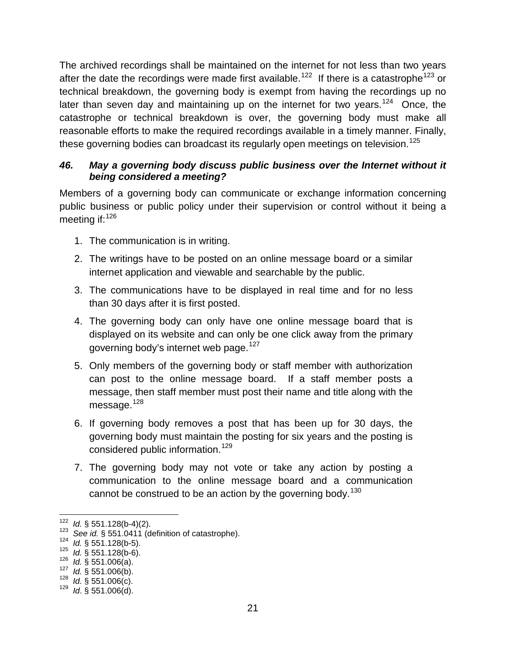The archived recordings shall be maintained on the internet for not less than two years after the date the recordings were made first available.<sup>122</sup> If there is a catastrophe<sup>[123](#page-29-2)</sup> or technical breakdown, the governing body is exempt from having the recordings up no later than seven day and maintaining up on the internet for two years.<sup>124</sup> Once, the catastrophe or technical breakdown is over, the governing body must make all reasonable efforts to make the required recordings available in a timely manner. Finally, these governing bodies can broadcast its regularly open meetings on television.<sup>[125](#page-29-4)</sup>

#### <span id="page-29-0"></span>*46. May a governing body discuss public business over the Internet without it being considered a meeting?*

Members of a governing body can communicate or exchange information concerning public business or public policy under their supervision or control without it being a meeting if:  $126$ 

- 1. The communication is in writing.
- 2. The writings have to be posted on an online message board or a similar internet application and viewable and searchable by the public.
- 3. The communications have to be displayed in real time and for no less than 30 days after it is first posted.
- 4. The governing body can only have one online message board that is displayed on its website and can only be one click away from the primary governing body's internet web page.<sup>[127](#page-29-6)</sup>
- 5. Only members of the governing body or staff member with authorization can post to the online message board. If a staff member posts a message, then staff member must post their name and title along with the message.<sup>[128](#page-29-7)</sup>
- 6. If governing body removes a post that has been up for 30 days, the governing body must maintain the posting for six years and the posting is considered public information.<sup>[129](#page-29-8)</sup>
- 7. The governing body may not vote or take any action by posting a communication to the online message board and a communication cannot be construed to be an action by the governing body.<sup>[130](#page-29-5)</sup>

<span id="page-29-2"></span><span id="page-29-1"></span><sup>&</sup>lt;sup>122</sup> *Id.* § 551.128(b-4)(2).<br><sup>123</sup> See *id.* § 551.0411 (definition of catastrophe).<br><sup>124</sup> *Id.* § 551.128(b-5).<br><sup>125</sup> *Id.* § 551.128(b-6).<br><sup>126</sup> *Id.* § 551.006(a).<br><sup>127</sup> *Id.* § 551.006(b).<br><sup>128</sup> *Id.* § 551.006(c).<br>

<span id="page-29-3"></span>

<span id="page-29-4"></span>

<span id="page-29-5"></span>

<span id="page-29-6"></span>

<span id="page-29-7"></span>

<span id="page-29-8"></span>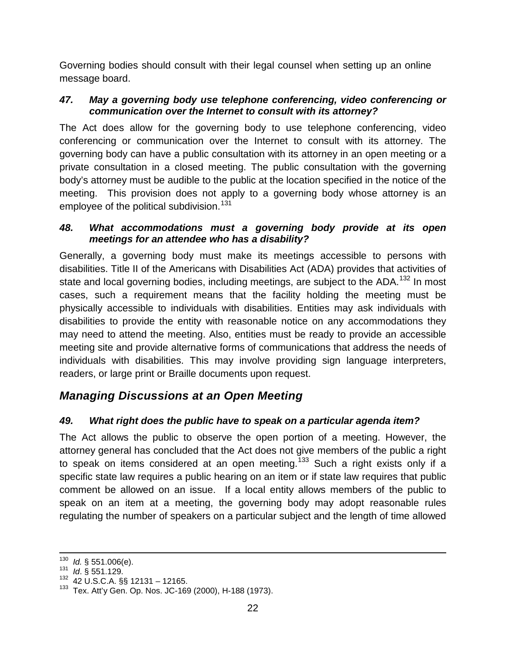Governing bodies should consult with their legal counsel when setting up an online message board.

#### <span id="page-30-0"></span>*47. May a governing body use telephone conferencing, video conferencing or communication over the Internet to consult with its attorney?*

The Act does allow for the governing body to use telephone conferencing, video conferencing or communication over the Internet to consult with its attorney. The governing body can have a public consultation with its attorney in an open meeting or a private consultation in a closed meeting. The public consultation with the governing body's attorney must be audible to the public at the location specified in the notice of the meeting. This provision does not apply to a governing body whose attorney is an employee of the political subdivision.<sup>[131](#page-30-4)</sup>

#### <span id="page-30-1"></span>*48. What accommodations must a governing body provide at its open meetings for an attendee who has a disability?*

Generally, a governing body must make its meetings accessible to persons with disabilities. Title II of the Americans with Disabilities Act (ADA) provides that activities of state and local governing bodies, including meetings, are subject to the ADA.<sup>[132](#page-30-5)</sup> In most cases, such a requirement means that the facility holding the meeting must be physically accessible to individuals with disabilities. Entities may ask individuals with disabilities to provide the entity with reasonable notice on any accommodations they may need to attend the meeting. Also, entities must be ready to provide an accessible meeting site and provide alternative forms of communications that address the needs of individuals with disabilities. This may involve providing sign language interpreters, readers, or large print or Braille documents upon request.

### <span id="page-30-2"></span>*Managing Discussions at an Open Meeting*

### <span id="page-30-3"></span>*49. What right does the public have to speak on a particular agenda item?*

The Act allows the public to observe the open portion of a meeting. However, the attorney general has concluded that the Act does not give members of the public a right to speak on items considered at an open meeting.<sup>[133](#page-30-6)</sup> Such a right exists only if a specific state law requires a public hearing on an item or if state law requires that public comment be allowed on an issue. If a local entity allows members of the public to speak on an item at a meeting, the governing body may adopt reasonable rules regulating the number of speakers on a particular subject and the length of time allowed

<span id="page-30-4"></span>

<span id="page-30-6"></span><span id="page-30-5"></span>

<sup>&</sup>lt;sup>130</sup> *Id.* § 551.006(e).<br><sup>131</sup> *Id.* § 551.129.<br><sup>132</sup> 42 U.S.C.A. §§ 12131 – 12165.<br><sup>133</sup> Tex. Att'y Gen. Op. Nos. JC-169 (2000), H-188 (1973).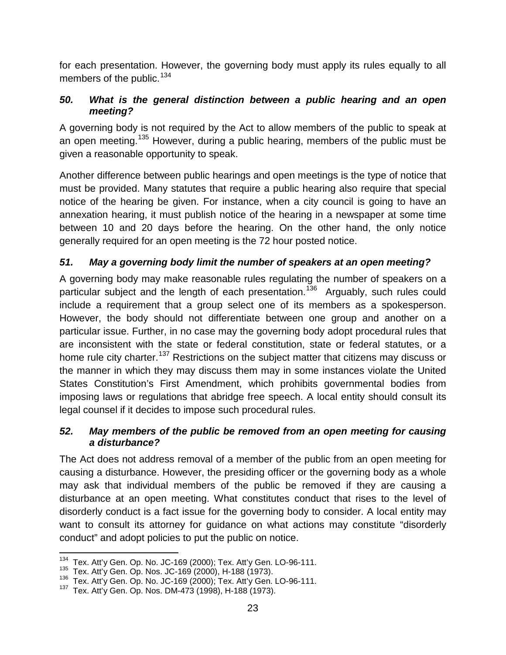for each presentation. However, the governing body must apply its rules equally to all members of the public.<sup>[134](#page-31-3)</sup>

#### <span id="page-31-0"></span>*50. What is the general distinction between a public hearing and an open meeting?*

A governing body is not required by the Act to allow members of the public to speak at an open meeting.<sup>[135](#page-31-4)</sup> However, during a public hearing, members of the public must be given a reasonable opportunity to speak.

Another difference between public hearings and open meetings is the type of notice that must be provided. Many statutes that require a public hearing also require that special notice of the hearing be given. For instance, when a city council is going to have an annexation hearing, it must publish notice of the hearing in a newspaper at some time between 10 and 20 days before the hearing. On the other hand, the only notice generally required for an open meeting is the 72 hour posted notice.

### <span id="page-31-1"></span>*51. May a governing body limit the number of speakers at an open meeting?*

A governing body may make reasonable rules regulating the number of speakers on a particular subject and the length of each presentation.<sup>136</sup> Arguably, such rules could include a requirement that a group select one of its members as a spokesperson. However, the body should not differentiate between one group and another on a particular issue. Further, in no case may the governing body adopt procedural rules that are inconsistent with the state or federal constitution, state or federal statutes, or a home rule city charter.<sup>[137](#page-31-6)</sup> Restrictions on the subject matter that citizens may discuss or the manner in which they may discuss them may in some instances violate the United States Constitution's First Amendment, which prohibits governmental bodies from imposing laws or regulations that abridge free speech. A local entity should consult its legal counsel if it decides to impose such procedural rules.

#### <span id="page-31-2"></span>*52. May members of the public be removed from an open meeting for causing a disturbance?*

The Act does not address removal of a member of the public from an open meeting for causing a disturbance. However, the presiding officer or the governing body as a whole may ask that individual members of the public be removed if they are causing a disturbance at an open meeting. What constitutes conduct that rises to the level of disorderly conduct is a fact issue for the governing body to consider. A local entity may want to consult its attorney for guidance on what actions may constitute "disorderly conduct" and adopt policies to put the public on notice.

<span id="page-31-3"></span><sup>&</sup>lt;sup>134</sup> Tex. Att'y Gen. Op. No. JC-169 (2000); Tex. Att'y Gen. LO-96-111.<br><sup>135</sup> Tex. Att'y Gen. Op. Nos. JC-169 (2000), H-188 (1973).

<span id="page-31-6"></span><span id="page-31-5"></span><span id="page-31-4"></span><sup>&</sup>lt;sup>136</sup> Tex. Att'y Gen. Op. No. JC-169 (2000), Tex. Att'y Gen. LO-96-111.<br><sup>137</sup> Tex. Att'y Gen. Op. Nos. DM-473 (1998), H-188 (1973).

Tex. Att'y Gen. Op. Nos. DM-473 (1998), H-188 (1973).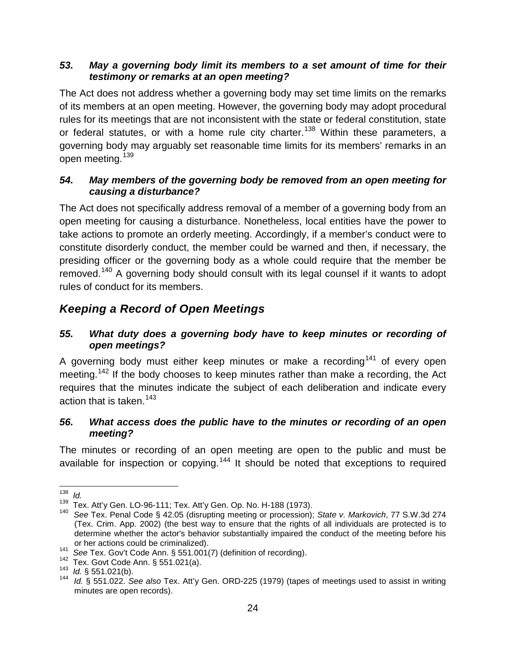#### <span id="page-32-0"></span>*53. May a governing body limit its members to a set amount of time for their testimony or remarks at an open meeting?*

The Act does not address whether a governing body may set time limits on the remarks of its members at an open meeting. However, the governing body may adopt procedural rules for its meetings that are not inconsistent with the state or federal constitution, state or federal statutes, or with a home rule city charter.<sup>[138](#page-32-5)</sup> Within these parameters, a governing body may arguably set reasonable time limits for its members' remarks in an open meeting.<sup>[139](#page-32-6)</sup>

#### <span id="page-32-1"></span>*54. May members of the governing body be removed from an open meeting for causing a disturbance?*

The Act does not specifically address removal of a member of a governing body from an open meeting for causing a disturbance. Nonetheless, local entities have the power to take actions to promote an orderly meeting. Accordingly, if a member's conduct were to constitute disorderly conduct, the member could be warned and then, if necessary, the presiding officer or the governing body as a whole could require that the member be removed.<sup>[140](#page-32-7)</sup> A governing body should consult with its legal counsel if it wants to adopt rules of conduct for its members.

### <span id="page-32-2"></span>*Keeping a Record of Open Meetings*

#### <span id="page-32-3"></span>*55. What duty does a governing body have to keep minutes or recording of open meetings?*

A governing body must either keep minutes or make a recording<sup>[141](#page-32-8)</sup> of every open meeting.<sup>[142](#page-32-9)</sup> If the body chooses to keep minutes rather than make a recording, the Act requires that the minutes indicate the subject of each deliberation and indicate every action that is taken.  $143$ 

#### <span id="page-32-4"></span>*56. What access does the public have to the minutes or recording of an open meeting?*

The minutes or recording of an open meeting are open to the public and must be available for inspection or copying.<sup>[144](#page-32-11)</sup> It should be noted that exceptions to required

<span id="page-32-6"></span><span id="page-32-5"></span><sup>&</sup>lt;sup>138</sup> *Id.*<br><sup>139</sup> Tex. Att'y Gen. LO-96-111; Tex. Att'y Gen. Op. No. H-188 (1973).

<span id="page-32-7"></span><sup>&</sup>lt;sup>140</sup> See Tex. Penal Code § 42.05 (disrupting meeting or procession); State v. Markovich, 77 S.W.3d 274 (Tex. Crim. App. 2002) (the best way to ensure that the rights of all individuals are protected is to determine whether the actor's behavior substantially impaired the conduct of the meeting before his

<span id="page-32-9"></span>

<span id="page-32-11"></span><span id="page-32-10"></span>

<span id="page-32-8"></span>or her actions could be criminalized).<br>
<sup>141</sup> See Tex. Gov't Code Ann. § 551.001(7) (definition of recording).<br>
<sup>142</sup> Tex. Govt Code Ann. § 551.021(a).<br>
<sup>143</sup> Id. § 551.021(b).<br>
<sup>143</sup> Id. § 551.022. See also Tex. Att'y Gen minutes are open records).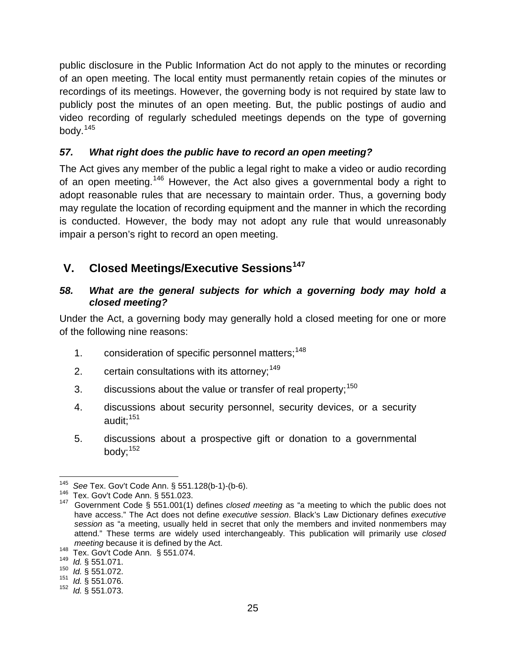public disclosure in the Public Information Act do not apply to the minutes or recording of an open meeting. The local entity must permanently retain copies of the minutes or recordings of its meetings. However, the governing body is not required by state law to publicly post the minutes of an open meeting. But, the public postings of audio and video recording of regularly scheduled meetings depends on the type of governing body.[145](#page-33-3)

#### <span id="page-33-0"></span>*57. What right does the public have to record an open meeting?*

The Act gives any member of the public a legal right to make a video or audio recording of an open meeting.<sup>[146](#page-33-4)</sup> However, the Act also gives a governmental body a right to adopt reasonable rules that are necessary to maintain order. Thus, a governing body may regulate the location of recording equipment and the manner in which the recording is conducted. However, the body may not adopt any rule that would unreasonably impair a person's right to record an open meeting.

### <span id="page-33-1"></span>**V. Closed Meetings/Executive Sessions[147](#page-33-5)**

#### <span id="page-33-2"></span>*58. What are the general subjects for which a governing body may hold a closed meeting?*

Under the Act, a governing body may generally hold a closed meeting for one or more of the following nine reasons:

- 1. consideration of specific personnel matters;<sup>[148](#page-33-6)</sup>
- 2. certain consultations with its attorney;  $149$
- 3. discussions about the value or transfer of real property;  $150$
- 4. discussions about security personnel, security devices, or a security audit;<sup>[151](#page-33-9)</sup>
- 5. discussions about a prospective gift or donation to a governmental body: $152$

<span id="page-33-5"></span>

<span id="page-33-4"></span><span id="page-33-3"></span><sup>1&</sup>lt;sup>45</sup> See Tex. Gov't Code Ann. § 551.128(b-1)-(b-6).<br><sup>146</sup> Tex. Gov't Code Ann. § 551.023.<br><sup>147</sup> Government Code § 551.001(1) defines *closed meeting* as "a meeting to which the public does not have access." The Act does not define *executive session*. Black's Law Dictionary defines *executive session* as "a meeting, usually held in secret that only the members and invited nonmembers may attend." These terms are widely used interchangeably. This publication will primarily use *closed* 

<span id="page-33-7"></span><span id="page-33-6"></span><sup>148</sup> Tex. Gov't Code Ann. § 551.074.<br><sup>149</sup> *Id.* § 551.071.<br><sup>150</sup> *Id.* § 551.072.

<span id="page-33-9"></span><span id="page-33-8"></span><sup>150</sup>*Id.* § 551.072. <sup>151</sup>*Id.* § 551.076.

<span id="page-33-10"></span><sup>152</sup> *Id.* § 551.073.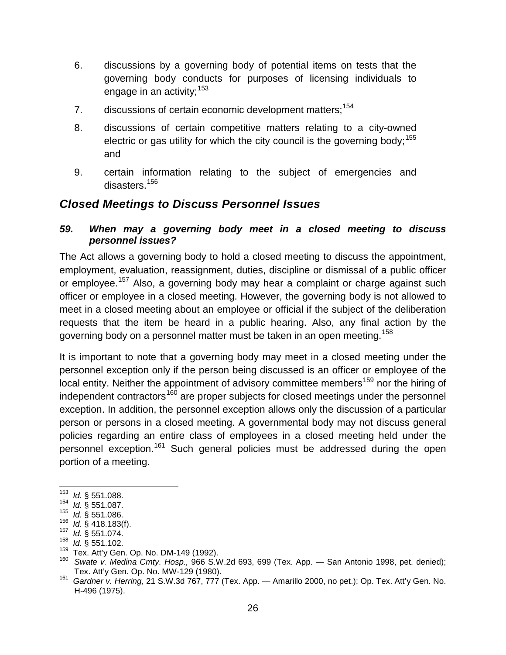- 6. discussions by a governing body of potential items on tests that the governing body conducts for purposes of licensing individuals to engage in an activity: [153](#page-34-2)
- 7. discussions of certain economic development matters: [154](#page-34-3)
- 8. discussions of certain competitive matters relating to a city-owned electric or gas utility for which the city council is the governing body;  $155$ and
- 9. certain information relating to the subject of emergencies and disasters.[156](#page-34-5)

### <span id="page-34-0"></span>*Closed Meetings to Discuss Personnel Issues*

#### <span id="page-34-1"></span>*59. When may a governing body meet in a closed meeting to discuss personnel issues?*

The Act allows a governing body to hold a closed meeting to discuss the appointment, employment, evaluation, reassignment, duties, discipline or dismissal of a public officer or employee.<sup>[157](#page-34-6)</sup> Also, a governing body may hear a complaint or charge against such officer or employee in a closed meeting. However, the governing body is not allowed to meet in a closed meeting about an employee or official if the subject of the deliberation requests that the item be heard in a public hearing. Also, any final action by the governing body on a personnel matter must be taken in an open meeting.<sup>[158](#page-34-7)</sup>

It is important to note that a governing body may meet in a closed meeting under the personnel exception only if the person being discussed is an officer or employee of the local entity. Neither the appointment of advisory committee members<sup>[159](#page-34-8)</sup> nor the hiring of independent contractors<sup>[160](#page-34-9)</sup> are proper subjects for closed meetings under the personnel exception. In addition, the personnel exception allows only the discussion of a particular person or persons in a closed meeting. A governmental body may not discuss general policies regarding an entire class of employees in a closed meeting held under the personnel exception.<sup>[161](#page-34-10)</sup> Such general policies must be addressed during the open portion of a meeting.

 <sup>153</sup> *Id.* § 551.088.

<span id="page-34-3"></span><span id="page-34-2"></span><sup>154</sup> *Id.* § 551.087.<br><sup>155</sup> *Id.* § 551.086.

<span id="page-34-5"></span><span id="page-34-4"></span><sup>155</sup>*Id.* § 551.086. <sup>156</sup>*Id.* § 418.183(f). <sup>157</sup>*Id.* § 551.074.

<span id="page-34-7"></span><span id="page-34-6"></span><sup>158</sup> *Id.* § 551.102.<br><sup>159</sup> Tex. Att'y Gen. Op. No. DM-149 (1992).

<span id="page-34-9"></span><span id="page-34-8"></span><sup>160</sup> Swate v. Medina Cmty. Hosp., 966 S.W.2d 693, 699 (Tex. App. — San Antonio 1998, pet. denied);<br>Tex. Att'y Gen. Op. No. MW-129 (1980).

<span id="page-34-10"></span>Tex. Att'y Gen. Op. No. MW-129 (1980). <sup>161</sup>*Gardner v. Herring*, 21 S.W.3d 767, 777 (Tex. App. — Amarillo 2000, no pet.); Op. Tex. Att'y Gen. No. H-496 (1975).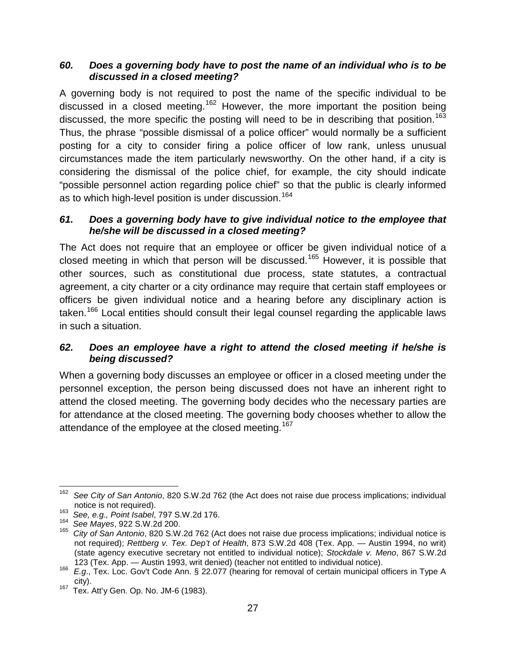#### <span id="page-35-0"></span>*60. Does a governing body have to post the name of an individual who is to be discussed in a closed meeting?*

A governing body is not required to post the name of the specific individual to be discussed in a closed meeting.<sup>[162](#page-35-3)</sup> However, the more important the position being discussed, the more specific the posting will need to be in describing that position.<sup>[163](#page-35-4)</sup> Thus, the phrase "possible dismissal of a police officer" would normally be a sufficient posting for a city to consider firing a police officer of low rank, unless unusual circumstances made the item particularly newsworthy. On the other hand, if a city is considering the dismissal of the police chief, for example, the city should indicate "possible personnel action regarding police chief" so that the public is clearly informed as to which high-level position is under discussion.<sup>[164](#page-35-5)</sup>

#### <span id="page-35-1"></span>*61. Does a governing body have to give individual notice to the employee that he/she will be discussed in a closed meeting?*

The Act does not require that an employee or officer be given individual notice of a closed meeting in which that person will be discussed.<sup>[165](#page-35-6)</sup> However, it is possible that other sources, such as constitutional due process, state statutes, a contractual agreement, a city charter or a city ordinance may require that certain staff employees or officers be given individual notice and a hearing before any disciplinary action is taken.<sup>[166](#page-35-7)</sup> Local entities should consult their legal counsel regarding the applicable laws in such a situation.

#### <span id="page-35-2"></span>*62. Does an employee have a right to attend the closed meeting if he/she is being discussed?*

When a governing body discusses an employee or officer in a closed meeting under the personnel exception, the person being discussed does not have an inherent right to attend the closed meeting. The governing body decides who the necessary parties are for attendance at the closed meeting. The governing body chooses whether to allow the attendance of the employee at the closed meeting.<sup>[167](#page-35-8)</sup>

<span id="page-35-3"></span> <sup>162</sup> *See City of San Antonio*, 820 S.W.2d 762 (the Act does not raise due process implications; individual notice is not required).<br><sup>163</sup> See, e.g., Point Isabel, 797 S.W.2d 176.<br><sup>164</sup> See Mayes, 922 S.W.2d 200.

<span id="page-35-4"></span>

<span id="page-35-6"></span><span id="page-35-5"></span><sup>164</sup>*See Mayes*, 922 S.W.2d 200. <sup>165</sup>*City of San Antonio*, 820 S.W.2d 762 (Act does not raise due process implications; individual notice is not required); *Rettberg v. Tex. Dep't of Health*, 873 S.W.2d 408 (Tex. App. — Austin 1994, no writ) (state agency executive secretary not entitled to individual notice); *Stockdale v. Meno*, 867 S.W.2d

<span id="page-35-7"></span><sup>123 (</sup>Tex. App. — Austin 1993, writ denied) (teacher not entitled to individual notice). <sup>166</sup>*E.g*., Tex. Loc. Gov't Code Ann. § 22.077 (hearing for removal of certain municipal officers in Type A

<span id="page-35-8"></span>city). 167 Tex. Att'y Gen. Op. No. JM-6 (1983).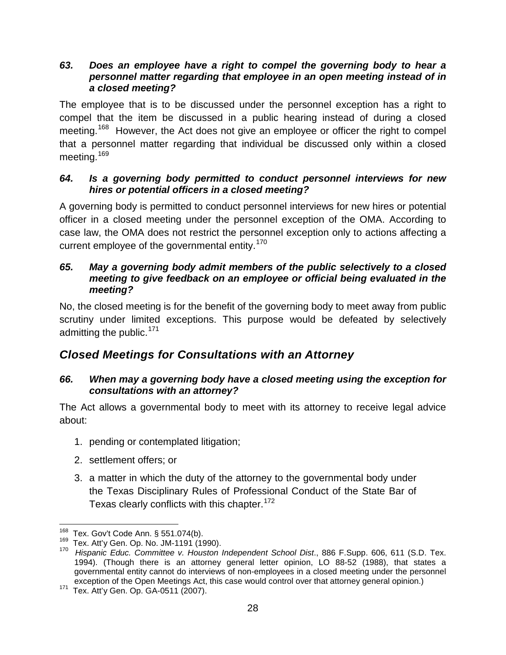#### <span id="page-36-0"></span>*63. Does an employee have a right to compel the governing body to hear a personnel matter regarding that employee in an open meeting instead of in a closed meeting?*

The employee that is to be discussed under the personnel exception has a right to compel that the item be discussed in a public hearing instead of during a closed meeting.<sup>[168](#page-36-5)</sup> However, the Act does not give an employee or officer the right to compel that a personnel matter regarding that individual be discussed only within a closed meeting.<sup>[169](#page-36-6)</sup>

#### <span id="page-36-1"></span>*64. Is a governing body permitted to conduct personnel interviews for new hires or potential officers in a closed meeting?*

A governing body is permitted to conduct personnel interviews for new hires or potential officer in a closed meeting under the personnel exception of the OMA. According to case law, the OMA does not restrict the personnel exception only to actions affecting a current employee of the governmental entity.<sup>[170](#page-36-7)</sup>

#### <span id="page-36-2"></span>*65. May a governing body admit members of the public selectively to a closed meeting to give feedback on an employee or official being evaluated in the meeting?*

No, the closed meeting is for the benefit of the governing body to meet away from public scrutiny under limited exceptions. This purpose would be defeated by selectively admitting the public.  $171$ 

### <span id="page-36-3"></span>*Closed Meetings for Consultations with an Attorney*

#### <span id="page-36-4"></span>*66. When may a governing body have a closed meeting using the exception for consultations with an attorney?*

The Act allows a governmental body to meet with its attorney to receive legal advice about:

- 1. pending or contemplated litigation;
- 2. settlement offers; or
- <span id="page-36-9"></span>3. a matter in which the duty of the attorney to the governmental body under the Texas Disciplinary Rules of Professional Conduct of the State Bar of Texas clearly conflicts with this chapter.<sup>[172](#page-36-9)</sup>

<span id="page-36-7"></span>

<span id="page-36-6"></span><span id="page-36-5"></span><sup>&</sup>lt;sup>168</sup> Tex. Gov't Code Ann. § 551.074(b).<br><sup>169</sup> Tex. Att'y Gen. Op. No. JM-1191 (1990).<br><sup>170</sup> *Hispanic Educ. Committee v. Houston Independent School Dist*., 886 F.Supp. 606, 611 (S.D. Tex. 1994). (Though there is an attorney general letter opinion, LO 88-52 (1988), that states a governmental entity cannot do interviews of non-employees in a closed meeting under the personnel exception of the Open Meetings Act, this case would control over that attorney general opinion.) 171 Tex. Att'y Gen. Op. GA-0511 (2007).

<span id="page-36-8"></span>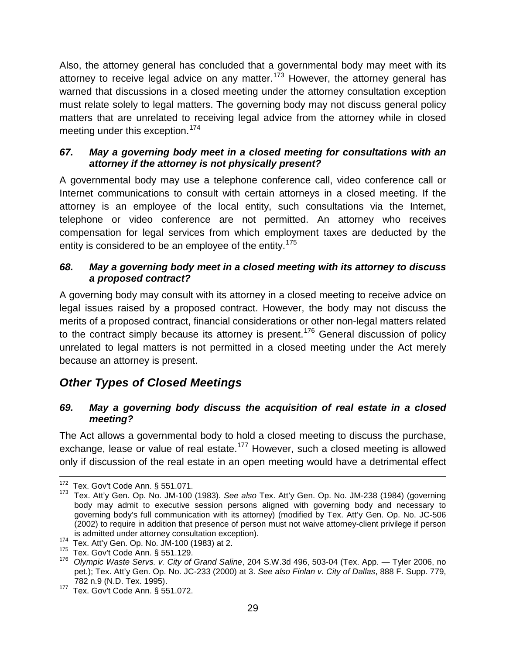Also, the attorney general has concluded that a governmental body may meet with its attorney to receive legal advice on any matter.<sup>[173](#page-37-4)</sup> However, the attorney general has warned that discussions in a closed meeting under the attorney consultation exception must relate solely to legal matters. The governing body may not discuss general policy matters that are unrelated to receiving legal advice from the attorney while in closed meeting under this exception.<sup>[174](#page-37-5)</sup>

#### <span id="page-37-0"></span>*67. May a governing body meet in a closed meeting for consultations with an attorney if the attorney is not physically present?*

A governmental body may use a telephone conference call, video conference call or Internet communications to consult with certain attorneys in a closed meeting. If the attorney is an employee of the local entity, such consultations via the Internet, telephone or video conference are not permitted. An attorney who receives compensation for legal services from which employment taxes are deducted by the entity is considered to be an employee of the entity.<sup>[175](#page-37-6)</sup>

#### <span id="page-37-1"></span>*68. May a governing body meet in a closed meeting with its attorney to discuss a proposed contract?*

A governing body may consult with its attorney in a closed meeting to receive advice on legal issues raised by a proposed contract. However, the body may not discuss the merits of a proposed contract, financial considerations or other non-legal matters related to the contract simply because its attorney is present.<sup>[176](#page-37-7)</sup> General discussion of policy unrelated to legal matters is not permitted in a closed meeting under the Act merely because an attorney is present.

### <span id="page-37-2"></span>*Other Types of Closed Meetings*

#### <span id="page-37-3"></span>*69. May a governing body discuss the acquisition of real estate in a closed meeting?*

The Act allows a governmental body to hold a closed meeting to discuss the purchase, exchange, lease or value of real estate.<sup>[177](#page-37-8)</sup> However, such a closed meeting is allowed only if discussion of the real estate in an open meeting would have a detrimental effect

<span id="page-37-4"></span><sup>&</sup>lt;sup>172</sup> Tex. Gov't Code Ann. § 551.071.<br><sup>173</sup> Tex. Att'y Gen. Op. No. JM-100 (1983). *See also* Tex. Att'y Gen. Op. No. JM-238 (1984) (governing body may admit to executive session persons aligned with governing body and necessary to governing body's full communication with its attorney) (modified by Tex. Att'y Gen. Op. No. JC-506 (2002) to require in addition that presence of person must not waive attorney-client privilege if person

<span id="page-37-7"></span><span id="page-37-6"></span>

<span id="page-37-5"></span>is admitted under attorney consultation exception).<br><sup>174</sup> Tex. Att'y Gen. Op. No. JM-100 (1983) at 2.<br><sup>175</sup> Tex. Gov't Code Ann. § 551.129.<br><sup>176</sup> Olympic Waste Servs. v. City of Grand Saline, 204 S.W.3d 496, 503-04 (Tex. A pet.); Tex. Att'y Gen. Op. No. JC-233 (2000) at 3. *See also Finlan v. City of Dallas*, 888 F. Supp. 779,

<span id="page-37-8"></span><sup>782</sup> n.9 (N.D. Tex. 1995). 177 Tex. Gov't Code Ann. § 551.072.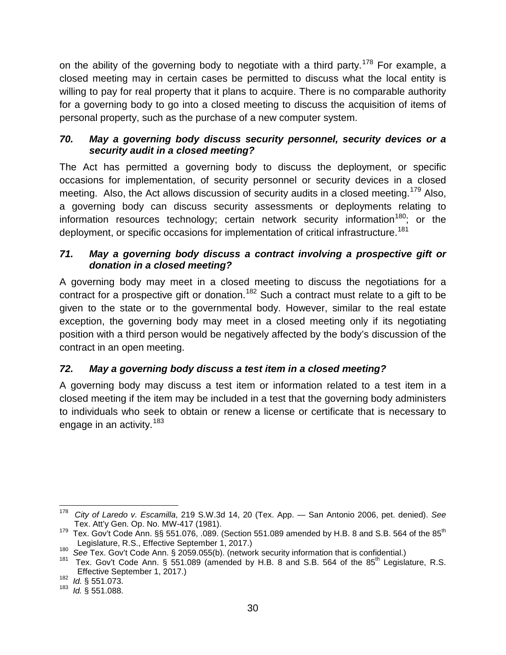on the ability of the governing body to negotiate with a third party.<sup>[178](#page-38-3)</sup> For example, a closed meeting may in certain cases be permitted to discuss what the local entity is willing to pay for real property that it plans to acquire. There is no comparable authority for a governing body to go into a closed meeting to discuss the acquisition of items of personal property, such as the purchase of a new computer system.

#### <span id="page-38-0"></span>*70. May a governing body discuss security personnel, security devices or a security audit in a closed meeting?*

The Act has permitted a governing body to discuss the deployment, or specific occasions for implementation, of security personnel or security devices in a closed meeting. Also, the Act allows discussion of security audits in a closed meeting.<sup>[179](#page-38-4)</sup> Also, a governing body can discuss security assessments or deployments relating to information resources technology; certain network security information<sup>[180](#page-38-5)</sup>; or the deployment, or specific occasions for implementation of critical infrastructure.<sup>[181](#page-38-6)</sup>

#### <span id="page-38-1"></span>*71. May a governing body discuss a contract involving a prospective gift or donation in a closed meeting?*

A governing body may meet in a closed meeting to discuss the negotiations for a contract for a prospective gift or donation.<sup>[182](#page-38-7)</sup> Such a contract must relate to a gift to be given to the state or to the governmental body. However, similar to the real estate exception, the governing body may meet in a closed meeting only if its negotiating position with a third person would be negatively affected by the body's discussion of the contract in an open meeting.

### <span id="page-38-2"></span>*72. May a governing body discuss a test item in a closed meeting?*

A governing body may discuss a test item or information related to a test item in a closed meeting if the item may be included in a test that the governing body administers to individuals who seek to obtain or renew a license or certificate that is necessary to engage in an activity.<sup>[183](#page-38-8)</sup>

<span id="page-38-3"></span> <sup>178</sup> *City of Laredo v. Escamilla*, 219 S.W.3d 14, 20 (Tex. App. — San Antonio 2006, pet. denied). *See*

<span id="page-38-4"></span>Tex. Gov't Code Ann.  $\S$ § 551.076, .089. (Section 551.089 amended by H.B. 8 and S.B. 564 of the 85<sup>th</sup><br>Legislature, R.S., Effective September 1, 2017.)

<span id="page-38-6"></span><span id="page-38-5"></span><sup>&</sup>lt;sup>180</sup> See Tex. Gov't Code Ann. § 2059.055(b). (network security information that is confidential.)<br><sup>181</sup> Tex. Gov't Code Ann. § 551.089 (amended by H.B. 8 and S.B. 564 of the 85<sup>th</sup> Legislature, R.S.<br>Effective September 1

<span id="page-38-8"></span><span id="page-38-7"></span> $\frac{182}{183}$  *Id.* § 551.073.

<sup>183</sup> *Id.* § 551.088.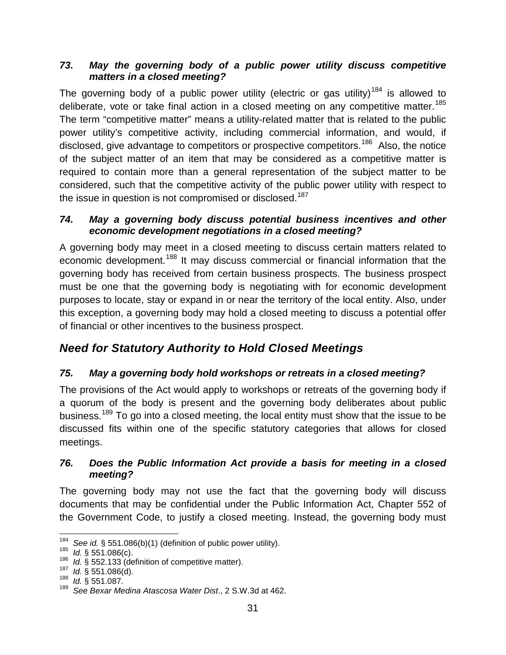#### <span id="page-39-0"></span>*73. May the governing body of a public power utility discuss competitive matters in a closed meeting?*

The governing body of a public power utility (electric or gas utility)<sup>[184](#page-39-5)</sup> is allowed to deliberate, vote or take final action in a closed meeting on any competitive matter.<sup>[185](#page-39-6)</sup> The term "competitive matter" means a utility-related matter that is related to the public power utility's competitive activity, including commercial information, and would, if disclosed, give advantage to competitors or prospective competitors.<sup>186</sup> Also, the notice of the subject matter of an item that may be considered as a competitive matter is required to contain more than a general representation of the subject matter to be considered, such that the competitive activity of the public power utility with respect to the issue in question is not compromised or disclosed.<sup>[187](#page-39-8)</sup>

#### <span id="page-39-1"></span>*74. May a governing body discuss potential business incentives and other economic development negotiations in a closed meeting?*

A governing body may meet in a closed meeting to discuss certain matters related to economic development.<sup>[188](#page-39-9)</sup> It may discuss commercial or financial information that the governing body has received from certain business prospects. The business prospect must be one that the governing body is negotiating with for economic development purposes to locate, stay or expand in or near the territory of the local entity. Also, under this exception, a governing body may hold a closed meeting to discuss a potential offer of financial or other incentives to the business prospect.

# <span id="page-39-2"></span>*Need for Statutory Authority to Hold Closed Meetings*

#### <span id="page-39-3"></span>*75. May a governing body hold workshops or retreats in a closed meeting?*

The provisions of the Act would apply to workshops or retreats of the governing body if a quorum of the body is present and the governing body deliberates about public business.<sup>[189](#page-39-10)</sup> To go into a closed meeting, the local entity must show that the issue to be discussed fits within one of the specific statutory categories that allows for closed meetings.

#### <span id="page-39-4"></span>*76. Does the Public Information Act provide a basis for meeting in a closed meeting?*

The governing body may not use the fact that the governing body will discuss documents that may be confidential under the Public Information Act, Chapter 552 of the Government Code, to justify a closed meeting. Instead, the governing body must

<span id="page-39-6"></span><span id="page-39-5"></span><sup>184</sup> See id. § 551.086(b)(1) (definition of public power utility).<br><sup>185</sup>*Id.* § 551.086(c).<br><sup>186</sup>*Id.* § 552.133 (definition of competitive matter).<br><sup>187</sup>*Id.* § 551.086(d).<br><sup>188</sup>*Id.* § 551.087.

<span id="page-39-7"></span>

<span id="page-39-8"></span>

<span id="page-39-9"></span>

<span id="page-39-10"></span><sup>189</sup> *See Bexar Medina Atascosa Water Dist*., 2 S.W.3d at 462.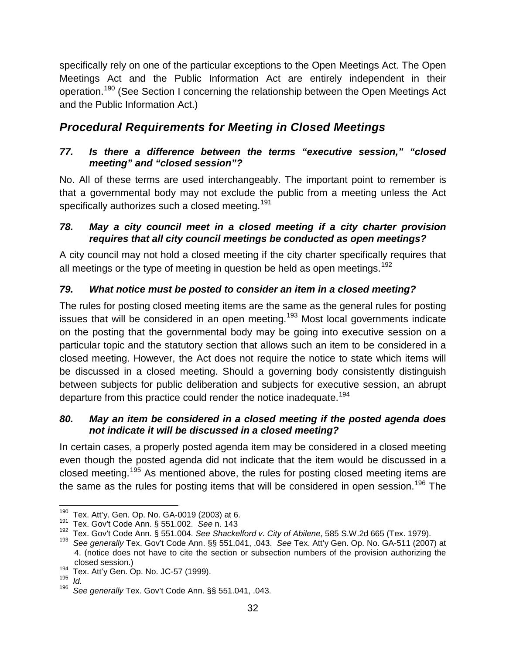specifically rely on one of the particular exceptions to the Open Meetings Act. The Open Meetings Act and the Public Information Act are entirely independent in their operation.[190](#page-40-5) (See Section I concerning the relationship between the Open Meetings Act and the Public Information Act.)

# <span id="page-40-0"></span>*Procedural Requirements for Meeting in Closed Meetings*

#### <span id="page-40-1"></span>*77. Is there a difference between the terms "executive session," "closed meeting" and "closed session"?*

No. All of these terms are used interchangeably. The important point to remember is that a governmental body may not exclude the public from a meeting unless the Act specifically authorizes such a closed meeting.<sup>[191](#page-40-6)</sup>

#### <span id="page-40-2"></span>*78. May a city council meet in a closed meeting if a city charter provision requires that all city council meetings be conducted as open meetings?*

A city council may not hold a closed meeting if the city charter specifically requires that all meetings or the type of meeting in question be held as open meetings.<sup>[192](#page-40-7)</sup>

### <span id="page-40-3"></span>*79. What notice must be posted to consider an item in a closed meeting?*

The rules for posting closed meeting items are the same as the general rules for posting issues that will be considered in an open meeting.<sup>[193](#page-40-8)</sup> Most local governments indicate on the posting that the governmental body may be going into executive session on a particular topic and the statutory section that allows such an item to be considered in a closed meeting. However, the Act does not require the notice to state which items will be discussed in a closed meeting. Should a governing body consistently distinguish between subjects for public deliberation and subjects for executive session, an abrupt departure from this practice could render the notice inadequate.<sup>[194](#page-40-9)</sup>

#### <span id="page-40-4"></span>*80. May an item be considered in a closed meeting if the posted agenda does not indicate it will be discussed in a closed meeting?*

In certain cases, a properly posted agenda item may be considered in a closed meeting even though the posted agenda did not indicate that the item would be discussed in a closed meeting.[195](#page-40-10) As mentioned above, the rules for posting closed meeting items are the same as the rules for posting items that will be considered in open session.<sup>[196](#page-40-11)</sup> The

<span id="page-40-5"></span> <sup>190</sup> Tex. Att'y. Gen. Op. No. GA-0019 (2003) at 6. 191 Tex. Gov't Code Ann. § 551.002. *See* n. 143

<span id="page-40-8"></span><span id="page-40-7"></span><span id="page-40-6"></span><sup>&</sup>lt;sup>192</sup> Tex. Gov't Code Ann. § 551.004. *See Shackelford v. City of Abilene*, 585 S.W.2d 665 (Tex. 1979).<br><sup>193</sup> See generally Tex. Gov't Code Ann. §§ 551.041, .043. *See* Tex. Att'y Gen. Op. No. GA-511 (2007) at

<sup>4. (</sup>notice does not have to cite the section or subsection numbers of the provision authorizing the

<span id="page-40-10"></span><span id="page-40-9"></span><sup>194</sup> Tex. Att'y Gen. Op. No. JC-57 (1999).<br>
195 *Id.*<br>
196 See generally Tex. Cov't Code App. 81

<span id="page-40-11"></span>

See generally Tex. Gov't Code Ann. §§ 551.041, .043.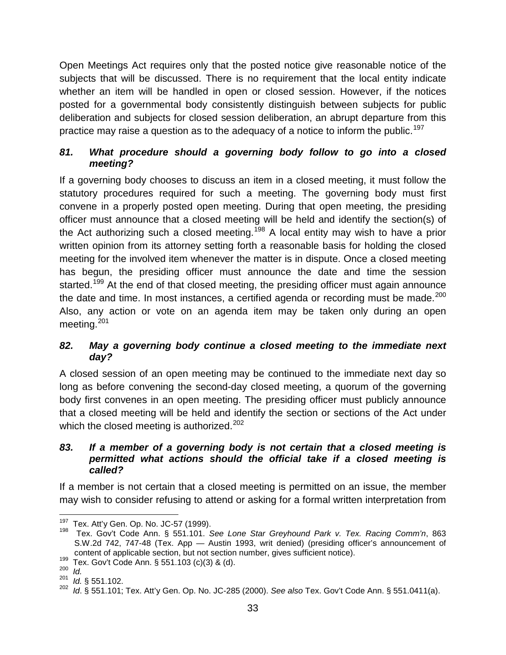Open Meetings Act requires only that the posted notice give reasonable notice of the subjects that will be discussed. There is no requirement that the local entity indicate whether an item will be handled in open or closed session. However, if the notices posted for a governmental body consistently distinguish between subjects for public deliberation and subjects for closed session deliberation, an abrupt departure from this practice may raise a question as to the adequacy of a notice to inform the public.<sup>[197](#page-41-3)</sup>

#### <span id="page-41-0"></span>*81. What procedure should a governing body follow to go into a closed meeting?*

If a governing body chooses to discuss an item in a closed meeting, it must follow the statutory procedures required for such a meeting. The governing body must first convene in a properly posted open meeting. During that open meeting, the presiding officer must announce that a closed meeting will be held and identify the section(s) of the Act authorizing such a closed meeting.<sup>[198](#page-41-4)</sup> A local entity may wish to have a prior written opinion from its attorney setting forth a reasonable basis for holding the closed meeting for the involved item whenever the matter is in dispute. Once a closed meeting has begun, the presiding officer must announce the date and time the session started.<sup>[199](#page-41-5)</sup> At the end of that closed meeting, the presiding officer must again announce the date and time. In most instances, a certified agenda or recording must be made. $200$ Also, any action or vote on an agenda item may be taken only during an open meeting.<sup>[201](#page-41-7)</sup>

#### <span id="page-41-1"></span>*82. May a governing body continue a closed meeting to the immediate next day?*

A closed session of an open meeting may be continued to the immediate next day so long as before convening the second-day closed meeting, a quorum of the governing body first convenes in an open meeting. The presiding officer must publicly announce that a closed meeting will be held and identify the section or sections of the Act under which the closed meeting is authorized.<sup>[202](#page-41-8)</sup>

#### <span id="page-41-2"></span>*83. If a member of a governing body is not certain that a closed meeting is permitted what actions should the official take if a closed meeting is called?*

If a member is not certain that a closed meeting is permitted on an issue, the member may wish to consider refusing to attend or asking for a formal written interpretation from

<span id="page-41-4"></span><span id="page-41-3"></span><sup>&</sup>lt;sup>197</sup> Tex. Att'y Gen. Op. No. JC-57 (1999).<br><sup>198</sup> Tex. Gov't Code Ann. § 551.101. *See Lone Star Greyhound Park v. Tex. Racing Comm'n*, 863 S.W.2d 742, 747-48 (Tex. App — Austin 1993, writ denied) (presiding officer's announcement of content of applicable section, but not section number, gives sufficient notice).<br><sup>199</sup> Tex. Gov't Code Ann. § 551.103 (c)(3) & (d).<br><sup>200</sup> *Id* 

<span id="page-41-5"></span>

<span id="page-41-8"></span><span id="page-41-7"></span><span id="page-41-6"></span> $\frac{201}{202}$  *Id.* § 551.102.

<sup>202</sup> *Id*. § 551.101; Tex. Att'y Gen. Op. No. JC-285 (2000). *See also* Tex. Gov't Code Ann. § 551.0411(a).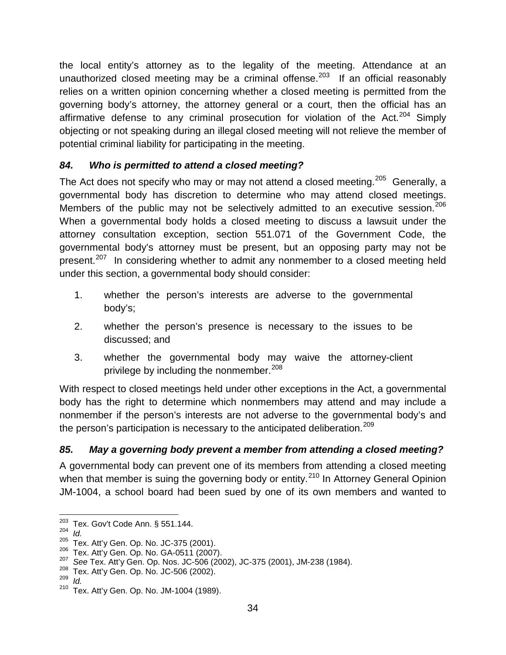the local entity's attorney as to the legality of the meeting. Attendance at an unauthorized closed meeting may be a criminal offense.<sup>[203](#page-42-2)</sup> If an official reasonably relies on a written opinion concerning whether a closed meeting is permitted from the governing body's attorney, the attorney general or a court, then the official has an affirmative defense to any criminal prosecution for violation of the Act. $204$  Simply objecting or not speaking during an illegal closed meeting will not relieve the member of potential criminal liability for participating in the meeting.

#### <span id="page-42-0"></span>*84. Who is permitted to attend a closed meeting?*

The Act does not specify who may or may not attend a closed meeting.<sup>[205](#page-42-4)</sup> Generally, a governmental body has discretion to determine who may attend closed meetings. Members of the public may not be selectively admitted to an executive session.<sup>[206](#page-42-5)</sup> When a governmental body holds a closed meeting to discuss a lawsuit under the attorney consultation exception, section 551.071 of the Government Code, the governmental body's attorney must be present, but an opposing party may not be present.<sup>[207](#page-42-6)</sup> In considering whether to admit any nonmember to a closed meeting held under this section, a governmental body should consider:

- 1. whether the person's interests are adverse to the governmental body's;
- 2. whether the person's presence is necessary to the issues to be discussed; and
- 3. whether the governmental body may waive the attorney-client privilege by including the nonmember.<sup>[208](#page-42-7)</sup>

With respect to closed meetings held under other exceptions in the Act, a governmental body has the right to determine which nonmembers may attend and may include a nonmember if the person's interests are not adverse to the governmental body's and the person's participation is necessary to the anticipated deliberation.<sup>[209](#page-42-8)</sup>

### <span id="page-42-1"></span>*85. May a governing body prevent a member from attending a closed meeting?*

A governmental body can prevent one of its members from attending a closed meeting when that member is suing the governing body or entity.<sup>[210](#page-42-9)</sup> In Attorney General Opinion JM-1004, a school board had been sued by one of its own members and wanted to

<span id="page-42-3"></span><span id="page-42-2"></span><sup>&</sup>lt;sup>203</sup> Tex. Gov't Code Ann. § 551.144.<br><sup>204</sup> *Id. Att'y* Gen. Op. No. JC-375 (2001).

<span id="page-42-6"></span><span id="page-42-5"></span><span id="page-42-4"></span><sup>&</sup>lt;sup>206</sup> Tex. Att'y Gen. Op. No. GA-0511 (2007).<br>
<sup>207</sup> See Tex. Att'y Gen. Op. Nos. JC-506 (2002), JC-375 (2001), JM-238 (1984).<br>
<sup>208</sup> Tex. Att'y Gen. Op. No. JC-506 (2002).<br>
<sup>209</sup> Id.<br>
<sup>210</sup> Tox. Att'y Gen. Op. No. JC-506

<span id="page-42-7"></span>

<span id="page-42-9"></span><span id="page-42-8"></span>

Tex. Att'y Gen. Op. No. JM-1004 (1989).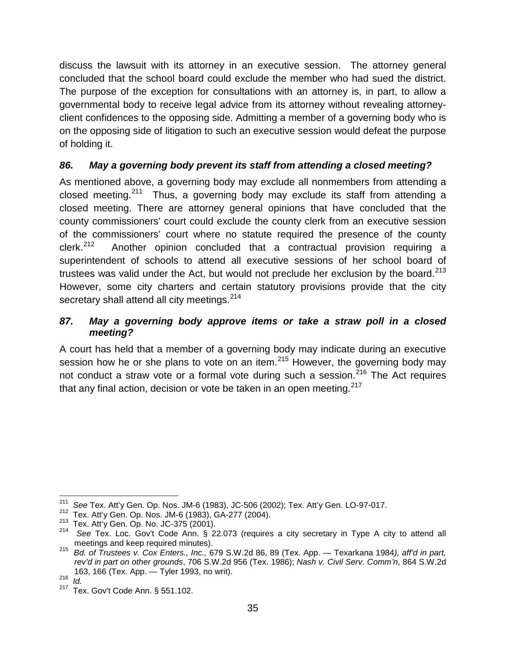discuss the lawsuit with its attorney in an executive session. The attorney general concluded that the school board could exclude the member who had sued the district. The purpose of the exception for consultations with an attorney is, in part, to allow a governmental body to receive legal advice from its attorney without revealing attorneyclient confidences to the opposing side. Admitting a member of a governing body who is on the opposing side of litigation to such an executive session would defeat the purpose of holding it.

#### <span id="page-43-0"></span>*86. May a governing body prevent its staff from attending a closed meeting?*

As mentioned above, a governing body may exclude all nonmembers from attending a closed meeting.<sup>[211](#page-43-2)</sup> Thus, a governing body may exclude its staff from attending a closed meeting. There are attorney general opinions that have concluded that the county commissioners' court could exclude the county clerk from an executive session of the commissioners' court where no statute required the presence of the county clerk.<sup>[212](#page-43-3)</sup> Another opinion concluded that a contractual provision requiring a superintendent of schools to attend all executive sessions of her school board of trustees was valid under the Act, but would not preclude her exclusion by the board. $213$ However, some city charters and certain statutory provisions provide that the city secretary shall attend all city meetings.<sup>[214](#page-43-5)</sup>

#### <span id="page-43-1"></span>*87. May a governing body approve items or take a straw poll in a closed meeting?*

A court has held that a member of a governing body may indicate during an executive session how he or she plans to vote on an item.<sup>[215](#page-43-6)</sup> However, the governing body may not conduct a straw vote or a formal vote during such a session.<sup>[216](#page-43-7)</sup> The Act requires that any final action, decision or vote be taken in an open meeting. $217$ 

<span id="page-43-2"></span><sup>&</sup>lt;sup>211</sup> *See* Tex. Att'y Gen. Op. Nos. JM-6 (1983), JC-506 (2002); Tex. Att'y Gen. LO-97-017.<br><sup>212</sup> Tex. Att'y Gen. Op. Nos. JM-6 (1983), GA-277 (2004).

<span id="page-43-5"></span><span id="page-43-4"></span><span id="page-43-3"></span><sup>&</sup>lt;sup>213</sup> Tex. Att'y Gen. Op. No. JC-375 (2001).<br><sup>214</sup> See Tex. Loc. Gov't Code Ann. § 22.073 (requires a city secretary in Type A city to attend all meetings and keep required minutes).

<span id="page-43-6"></span>meetings and keep required minutes). <sup>215</sup>*Bd. of Trustees v. Cox Enters., Inc.,* 679 S.W.2d 86, 89 (Tex. App. — Texarkana 1984*), aff'd in part, rev'd in part on other grounds*, 706 S.W.2d 956 (Tex. 1986); *Nash v. Civil Serv. Comm'n*, 864 S.W.2d 163, 166 (Tex. App. — Tyler 1993, no writ). <sup>216</sup>*Id.*

<span id="page-43-8"></span><span id="page-43-7"></span>

Tex. Gov't Code Ann. § 551.102.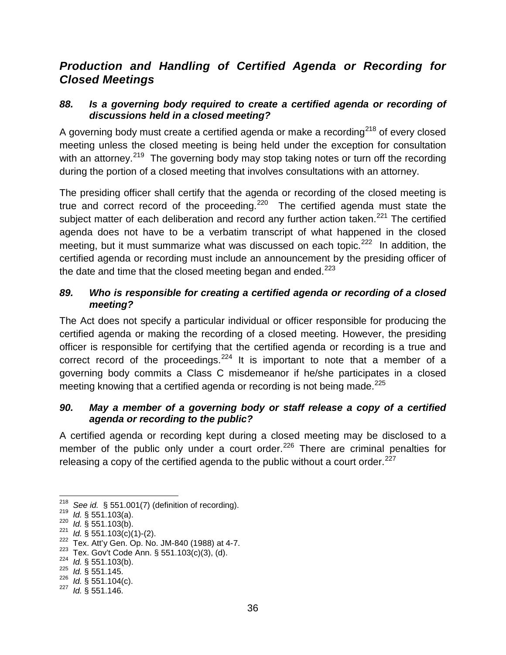### <span id="page-44-0"></span>*Production and Handling of Certified Agenda or Recording for Closed Meetings*

#### <span id="page-44-1"></span>*88. Is a governing body required to create a certified agenda or recording of discussions held in a closed meeting?*

A governing body must create a certified agenda or make a recording<sup>[218](#page-44-4)</sup> of every closed meeting unless the closed meeting is being held under the exception for consultation with an attorney.<sup>219</sup> The governing body may stop taking notes or turn off the recording during the portion of a closed meeting that involves consultations with an attorney.

The presiding officer shall certify that the agenda or recording of the closed meeting is true and correct record of the proceeding.<sup>[220](#page-44-6)</sup> The certified agenda must state the subject matter of each deliberation and record any further action taken.<sup>[221](#page-44-7)</sup> The certified agenda does not have to be a verbatim transcript of what happened in the closed meeting, but it must summarize what was discussed on each topic.<sup>222</sup> In addition, the certified agenda or recording must include an announcement by the presiding officer of the date and time that the closed meeting began and ended. $223$ 

#### <span id="page-44-2"></span>*89. Who is responsible for creating a certified agenda or recording of a closed meeting?*

The Act does not specify a particular individual or officer responsible for producing the certified agenda or making the recording of a closed meeting. However, the presiding officer is responsible for certifying that the certified agenda or recording is a true and correct record of the proceedings.<sup>[224](#page-44-10)</sup> It is important to note that a member of a governing body commits a Class C misdemeanor if he/she participates in a closed meeting knowing that a certified agenda or recording is not being made.<sup>[225](#page-44-11)</sup>

#### <span id="page-44-3"></span>*90. May a member of a governing body or staff release a copy of a certified agenda or recording to the public?*

A certified agenda or recording kept during a closed meeting may be disclosed to a member of the public only under a court order.<sup>[226](#page-44-12)</sup> There are criminal penalties for releasing a copy of the certified agenda to the public without a court order.<sup>[227](#page-44-13)</sup>

<span id="page-44-5"></span><span id="page-44-4"></span><sup>&</sup>lt;sup>218</sup> See id. § 551.001(7) (definition of recording).<br><sup>219</sup> Id. § 551.103(a).<br><sup>220</sup> Id. § 551.103(c)(1)-(2).<br><sup>222</sup> Tex. Att'y Gen. Op. No. JM-840 (1988) at 4-7.

<span id="page-44-6"></span>

<span id="page-44-7"></span>

<span id="page-44-9"></span><span id="page-44-8"></span><sup>&</sup>lt;sup>223</sup> Tex. Gov't Code Ann. § 551.103(c)(3), (d).<br><sup>224</sup> *Id.* § 551.103(b).<br><sup>225</sup> *Id.* § 551.145.<br><sup>226</sup> *Id.* § 551.104(c).

<span id="page-44-10"></span>

<span id="page-44-11"></span>

<span id="page-44-13"></span><span id="page-44-12"></span><sup>&</sup>lt;sup>227</sup> *Id.* § 551.146.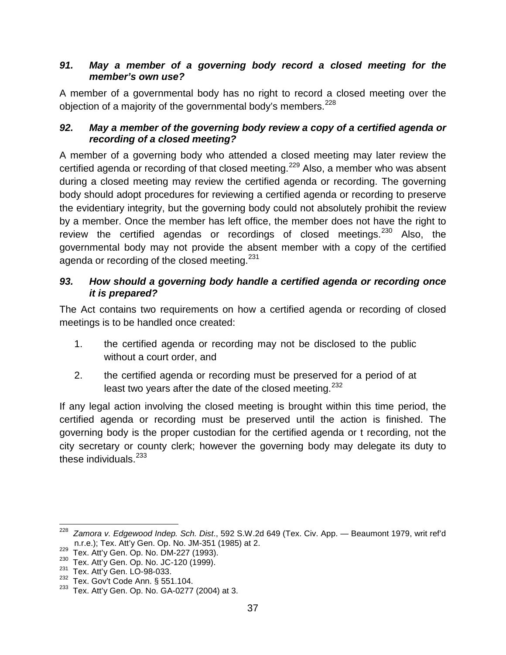#### <span id="page-45-0"></span>*91. May a member of a governing body record a closed meeting for the member's own use?*

A member of a governmental body has no right to record a closed meeting over the objection of a majority of the governmental body's members.<sup>[228](#page-45-3)</sup>

#### <span id="page-45-1"></span>*92. May a member of the governing body review a copy of a certified agenda or recording of a closed meeting?*

A member of a governing body who attended a closed meeting may later review the certified agenda or recording of that closed meeting.<sup>[229](#page-45-4)</sup> Also, a member who was absent during a closed meeting may review the certified agenda or recording. The governing body should adopt procedures for reviewing a certified agenda or recording to preserve the evidentiary integrity, but the governing body could not absolutely prohibit the review by a member. Once the member has left office, the member does not have the right to review the certified agendas or recordings of closed meetings. $^{230}$  $^{230}$  $^{230}$  Also, the governmental body may not provide the absent member with a copy of the certified agenda or recording of the closed meeting.<sup>[231](#page-45-6)</sup>

#### <span id="page-45-2"></span>*93. How should a governing body handle a certified agenda or recording once it is prepared?*

The Act contains two requirements on how a certified agenda or recording of closed meetings is to be handled once created:

- 1. the certified agenda or recording may not be disclosed to the public without a court order, and
- 2. the certified agenda or recording must be preserved for a period of at least two years after the date of the closed meeting.  $232$

If any legal action involving the closed meeting is brought within this time period, the certified agenda or recording must be preserved until the action is finished. The governing body is the proper custodian for the certified agenda or t recording, not the city secretary or county clerk; however the governing body may delegate its duty to these individuals. $233$ 

<span id="page-45-3"></span> <sup>228</sup> *Zamora v. Edgewood Indep. Sch. Dist*., 592 S.W.2d 649 (Tex. Civ. App. — Beaumont 1979, writ ref'd

<span id="page-45-5"></span><span id="page-45-4"></span><sup>229</sup> Tex. Att'y Gen. Op. No. DM-227 (1993).<br><sup>230</sup> Tex. Att'y Gen. Op. No. JC-120 (1999).<br><sup>231</sup> Tex. Att'y Gen. LO-98-033.

<span id="page-45-8"></span><span id="page-45-7"></span><span id="page-45-6"></span><sup>&</sup>lt;sup>232</sup> Tex. Gov't Code Ann. § 551.104.

Tex. Att'y Gen. Op. No. GA-0277 (2004) at 3.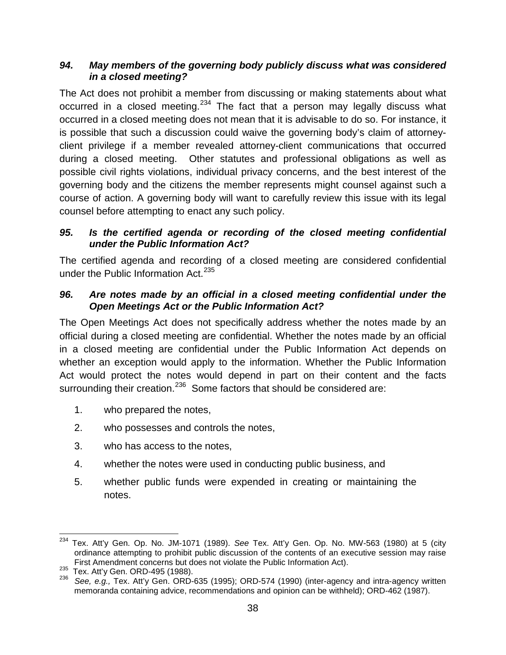#### <span id="page-46-0"></span>*94. May members of the governing body publicly discuss what was considered in a closed meeting?*

The Act does not prohibit a member from discussing or making statements about what occurred in a closed meeting.<sup>[234](#page-46-3)</sup> The fact that a person may legally discuss what occurred in a closed meeting does not mean that it is advisable to do so. For instance, it is possible that such a discussion could waive the governing body's claim of attorneyclient privilege if a member revealed attorney-client communications that occurred during a closed meeting. Other statutes and professional obligations as well as possible civil rights violations, individual privacy concerns, and the best interest of the governing body and the citizens the member represents might counsel against such a course of action. A governing body will want to carefully review this issue with its legal counsel before attempting to enact any such policy.

#### <span id="page-46-1"></span>*95. Is the certified agenda or recording of the closed meeting confidential under the Public Information Act?*

The certified agenda and recording of a closed meeting are considered confidential under the Public Information Act.<sup>[235](#page-46-4)</sup>

#### <span id="page-46-2"></span>*96. Are notes made by an official in a closed meeting confidential under the Open Meetings Act or the Public Information Act?*

The Open Meetings Act does not specifically address whether the notes made by an official during a closed meeting are confidential. Whether the notes made by an official in a closed meeting are confidential under the Public Information Act depends on whether an exception would apply to the information. Whether the Public Information Act would protect the notes would depend in part on their content and the facts surrounding their creation.<sup>[236](#page-46-5)</sup> Some factors that should be considered are:

- 1. who prepared the notes,
- 2. who possesses and controls the notes,
- 3. who has access to the notes,
- 4. whether the notes were used in conducting public business, and
- 5. whether public funds were expended in creating or maintaining the notes.

<span id="page-46-3"></span> <sup>234</sup> Tex. Att'y Gen. Op. No. JM-1071 (1989). *See* Tex. Att'y Gen. Op. No. MW-563 (1980) at 5 (city ordinance attempting to prohibit public discussion of the contents of an executive session may raise<br>First Amendment concerns but does not violate the Public Information Act).

<span id="page-46-5"></span><span id="page-46-4"></span>First Amendment concerns but does not violate the Public Information Act). 235 Tex. Att'y Gen. ORD-495 (1988). <sup>236</sup>*See, e.g.,* Tex. Att'y Gen. ORD-635 (1995); ORD-574 (1990) (inter-agency and intra-agency written memoranda containing advice, recommendations and opinion can be withheld); ORD-462 (1987).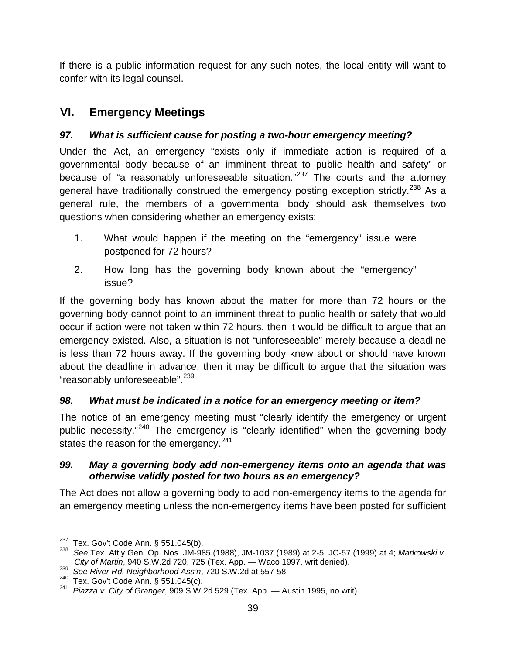If there is a public information request for any such notes, the local entity will want to confer with its legal counsel.

# <span id="page-47-0"></span>**VI. Emergency Meetings**

### <span id="page-47-1"></span>*97. What is sufficient cause for posting a two-hour emergency meeting?*

Under the Act, an emergency "exists only if immediate action is required of a governmental body because of an imminent threat to public health and safety" or because of "a reasonably unforeseeable situation." $237$  The courts and the attorney general have traditionally construed the emergency posting exception strictly.<sup>[238](#page-47-5)</sup> As a general rule, the members of a governmental body should ask themselves two questions when considering whether an emergency exists:

- 1. What would happen if the meeting on the "emergency" issue were postponed for 72 hours?
- 2. How long has the governing body known about the "emergency" issue?

If the governing body has known about the matter for more than 72 hours or the governing body cannot point to an imminent threat to public health or safety that would occur if action were not taken within 72 hours, then it would be difficult to argue that an emergency existed. Also, a situation is not "unforeseeable" merely because a deadline is less than 72 hours away. If the governing body knew about or should have known about the deadline in advance, then it may be difficult to argue that the situation was "reasonably unforeseeable".<sup>[239](#page-47-6)</sup>

### <span id="page-47-2"></span>*98. What must be indicated in a notice for an emergency meeting or item?*

The notice of an emergency meeting must "clearly identify the emergency or urgent public necessity."<sup>[240](#page-47-7)</sup> The emergency is "clearly identified" when the governing body states the reason for the emergency.<sup>[241](#page-47-8)</sup>

#### <span id="page-47-3"></span>*99. May a governing body add non-emergency items onto an agenda that was otherwise validly posted for two hours as an emergency?*

The Act does not allow a governing body to add non-emergency items to the agenda for an emergency meeting unless the non-emergency items have been posted for sufficient

<span id="page-47-5"></span><span id="page-47-4"></span><sup>&</sup>lt;sup>237</sup> Tex. Gov't Code Ann. § 551.045(b).<br><sup>238</sup> See Tex. Att'y Gen. Op. Nos. JM-985 (1988), JM-1037 (1989) at 2-5, JC-57 (1999) at 4; *Markowski v.*<br>*City of Martin*, 940 S.W.2d 720, 725 (Tex. App. — Waco 1997, writ denied)

<span id="page-47-6"></span><sup>239</sup> See River Rd. Neighborhood Ass'n, 720 S.W.2d at 557-58.<br><sup>240</sup> Tex. Gov't Code Ann. § 551.045(c).

<span id="page-47-8"></span><span id="page-47-7"></span><sup>240</sup> Tex. Gov't Code Ann. § 551.045(c). <sup>241</sup>*Piazza v. City of Granger*, 909 S.W.2d 529 (Tex. App. — Austin 1995, no writ).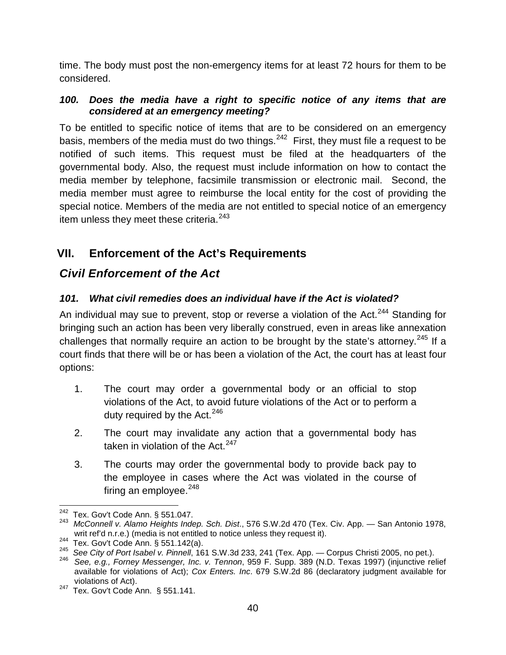time. The body must post the non-emergency items for at least 72 hours for them to be considered.

#### <span id="page-48-0"></span>*100. Does the media have a right to specific notice of any items that are considered at an emergency meeting?*

To be entitled to specific notice of items that are to be considered on an emergency basis, members of the media must do two things.  $242$  First, they must file a request to be notified of such items. This request must be filed at the headquarters of the governmental body. Also, the request must include information on how to contact the media member by telephone, facsimile transmission or electronic mail. Second, the media member must agree to reimburse the local entity for the cost of providing the special notice. Members of the media are not entitled to special notice of an emergency item unless they meet these criteria.<sup>[243](#page-48-5)</sup>

# <span id="page-48-1"></span>**VII. Enforcement of the Act's Requirements**

## <span id="page-48-2"></span>*Civil Enforcement of the Act*

### <span id="page-48-3"></span>*101. What civil remedies does an individual have if the Act is violated?*

An individual may sue to prevent, stop or reverse a violation of the Act.<sup>[244](#page-48-6)</sup> Standing for bringing such an action has been very liberally construed, even in areas like annexation challenges that normally require an action to be brought by the state's attorney.<sup>[245](#page-48-7)</sup> If a court finds that there will be or has been a violation of the Act, the court has at least four options:

- 1. The court may order a governmental body or an official to stop violations of the Act, to avoid future violations of the Act or to perform a duty required by the Act.<sup>[246](#page-48-8)</sup>
- 2. The court may invalidate any action that a governmental body has taken in violation of the Act.<sup>[247](#page-48-9)</sup>
- 3. The courts may order the governmental body to provide back pay to the employee in cases where the Act was violated in the course of firing an employee. $248$

<span id="page-48-5"></span><span id="page-48-4"></span><sup>&</sup>lt;sup>242</sup> Tex. Gov't Code Ann. § 551.047.<br><sup>243</sup> *McConnell v. Alamo Heights Indep. Sch. Dist.*, 576 S.W.2d 470 (Tex. Civ. App. — San Antonio 1978,<br>writ ref'd n.r.e.) (media is not entitled to notice unless they request it).

<span id="page-48-7"></span><span id="page-48-6"></span> $244$ <br>Tex. Gov't Code Ann. § 551.142(a).<br> $245$  See City of Port Isabel v. Pinnell, 161 S.W.3d 233, 241 (Tex. App. — Corpus Christi 2005, no pet.).<br> $246$  See, e.g., Forney Messenger, Inc. v. Tennon, 959 F. Supp. 389 (N.D.

<span id="page-48-8"></span>available for violations of Act); *Cox Enters. Inc*. 679 S.W.2d 86 (declaratory judgment available for

<span id="page-48-9"></span>violations of Act).<br><sup>247</sup> Tex. Gov't Code Ann. § 551.141.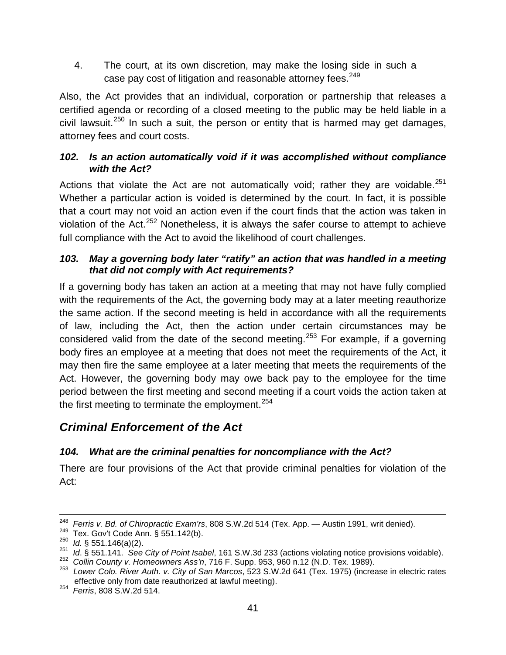4. The court, at its own discretion, may make the losing side in such a case pay cost of litigation and reasonable attorney fees.<sup>[249](#page-49-4)</sup>

Also, the Act provides that an individual, corporation or partnership that releases a certified agenda or recording of a closed meeting to the public may be held liable in a civil lawsuit.<sup>[250](#page-49-5)</sup> In such a suit, the person or entity that is harmed may get damages, attorney fees and court costs.

#### <span id="page-49-0"></span>*102. Is an action automatically void if it was accomplished without compliance with the Act?*

Actions that violate the Act are not automatically void; rather they are voidable.<sup>[251](#page-49-6)</sup> Whether a particular action is voided is determined by the court. In fact, it is possible that a court may not void an action even if the court finds that the action was taken in violation of the Act.<sup>[252](#page-49-7)</sup> Nonetheless, it is always the safer course to attempt to achieve full compliance with the Act to avoid the likelihood of court challenges.

#### <span id="page-49-1"></span>*103. May a governing body later "ratify" an action that was handled in a meeting that did not comply with Act requirements?*

If a governing body has taken an action at a meeting that may not have fully complied with the requirements of the Act, the governing body may at a later meeting reauthorize the same action. If the second meeting is held in accordance with all the requirements of law, including the Act, then the action under certain circumstances may be considered valid from the date of the second meeting.<sup>[253](#page-49-8)</sup> For example, if a governing body fires an employee at a meeting that does not meet the requirements of the Act, it may then fire the same employee at a later meeting that meets the requirements of the Act. However, the governing body may owe back pay to the employee for the time period between the first meeting and second meeting if a court voids the action taken at the first meeting to terminate the employment.  $254$ 

# <span id="page-49-2"></span>*Criminal Enforcement of the Act*

### <span id="page-49-3"></span>*104. What are the criminal penalties for noncompliance with the Act?*

There are four provisions of the Act that provide criminal penalties for violation of the Act:

<span id="page-49-5"></span>

<span id="page-49-4"></span><sup>&</sup>lt;sup>248</sup> Ferris v. Bd. of Chiropractic Exam'rs, 808 S.W.2d 514 (Tex. App. — Austin 1991, writ denied).<br><sup>249</sup> Tex. Gov't Code Ann. § 551.142(b).<br><sup>250</sup> Id. § 551.146(a)(2).<br><sup>251</sup> Id. § 551.141. See City of Point Isabel, 161 S.

<span id="page-49-6"></span>

<span id="page-49-8"></span><span id="page-49-7"></span>effective only from date reauthorized at lawful meeting). <sup>254</sup>*Ferris*, 808 S.W.2d 514.

<span id="page-49-9"></span>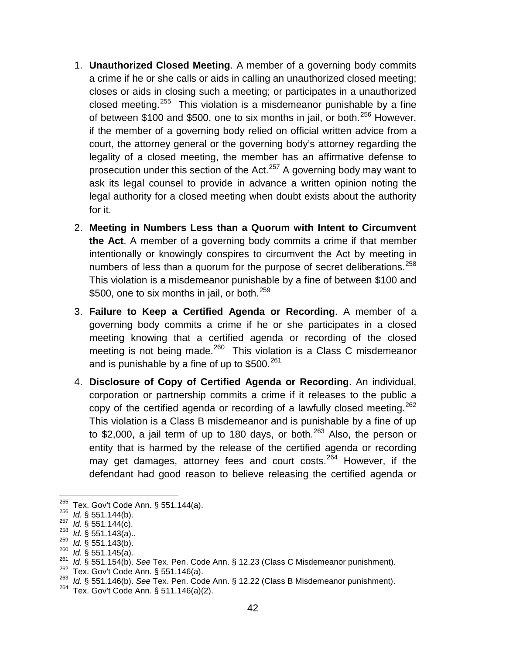- 1. **Unauthorized Closed Meeting**. A member of a governing body commits a crime if he or she calls or aids in calling an unauthorized closed meeting; closes or aids in closing such a meeting; or participates in a unauthorized closed meeting.<sup>[255](#page-50-0)</sup> This violation is a misdemeanor punishable by a fine of between \$100 and \$500, one to six months in jail, or both.<sup>[256](#page-50-1)</sup> However, if the member of a governing body relied on official written advice from a court, the attorney general or the governing body's attorney regarding the legality of a closed meeting, the member has an affirmative defense to prosecution under this section of the Act. $257$  A governing body may want to ask its legal counsel to provide in advance a written opinion noting the legal authority for a closed meeting when doubt exists about the authority for it.
- 2. **Meeting in Numbers Less than a Quorum with Intent to Circumvent the Act**. A member of a governing body commits a crime if that member intentionally or knowingly conspires to circumvent the Act by meeting in numbers of less than a quorum for the purpose of secret deliberations.  $258$ This violation is a misdemeanor punishable by a fine of between \$100 and \$500, one to six months in jail, or both.<sup>[259](#page-50-4)</sup>
- 3. **Failure to Keep a Certified Agenda or Recording**. A member of a governing body commits a crime if he or she participates in a closed meeting knowing that a certified agenda or recording of the closed meeting is not being made.<sup>260</sup> This violation is a Class C misdemeanor and is punishable by a fine of up to  $$500.<sup>261</sup>$  $$500.<sup>261</sup>$  $$500.<sup>261</sup>$
- 4. **Disclosure of Copy of Certified Agenda or Recording**. An individual, corporation or partnership commits a crime if it releases to the public a copy of the certified agenda or recording of a lawfully closed meeting.  $262$ This violation is a Class B misdemeanor and is punishable by a fine of up to \$2,000, a jail term of up to 180 days, or both. $^{263}$  $^{263}$  $^{263}$  Also, the person or entity that is harmed by the release of the certified agenda or recording may get damages, attorney fees and court costs.<sup>[264](#page-50-9)</sup> However, if the defendant had good reason to believe releasing the certified agenda or

<span id="page-50-0"></span>

<span id="page-50-1"></span>

<span id="page-50-2"></span>

<span id="page-50-3"></span>

<span id="page-50-4"></span>

<span id="page-50-6"></span><span id="page-50-5"></span>

<sup>&</sup>lt;sup>255</sup> Tex. Gov't Code Ann. § 551.144(a).<br><sup>256</sup> *Id.* § 551.144(b).<br><sup>256</sup> *Id.* § 551.144(c).<br><sup>258</sup> *Id.* § 551.143(a)..<br><sup>259</sup> *Id.* § 551.143(a).<br><sup>269</sup> *Id.* § 551.154(b). See Tex. Pen. Code Ann. § 12.23 (Class C Misdemean

<span id="page-50-7"></span>

<span id="page-50-8"></span>

<span id="page-50-9"></span>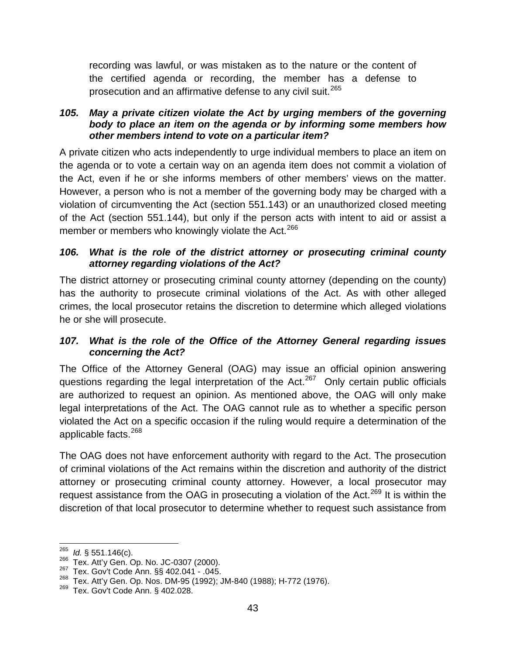recording was lawful, or was mistaken as to the nature or the content of the certified agenda or recording, the member has a defense to prosecution and an affirmative defense to any civil suit.<sup>[265](#page-51-3)</sup>

#### <span id="page-51-0"></span>*105. May a private citizen violate the Act by urging members of the governing body to place an item on the agenda or by informing some members how other members intend to vote on a particular item?*

A private citizen who acts independently to urge individual members to place an item on the agenda or to vote a certain way on an agenda item does not commit a violation of the Act, even if he or she informs members of other members' views on the matter. However, a person who is not a member of the governing body may be charged with a violation of circumventing the Act (section 551.143) or an unauthorized closed meeting of the Act (section 551.144), but only if the person acts with intent to aid or assist a member or members who knowingly violate the Act.<sup>[266](#page-51-4)</sup>

#### <span id="page-51-1"></span>*106. What is the role of the district attorney or prosecuting criminal county attorney regarding violations of the Act?*

The district attorney or prosecuting criminal county attorney (depending on the county) has the authority to prosecute criminal violations of the Act. As with other alleged crimes, the local prosecutor retains the discretion to determine which alleged violations he or she will prosecute.

#### <span id="page-51-2"></span>*107. What is the role of the Office of the Attorney General regarding issues concerning the Act?*

The Office of the Attorney General (OAG) may issue an official opinion answering questions regarding the legal interpretation of the Act.<sup>267</sup> Only certain public officials are authorized to request an opinion. As mentioned above, the OAG will only make legal interpretations of the Act. The OAG cannot rule as to whether a specific person violated the Act on a specific occasion if the ruling would require a determination of the applicable facts.<sup>[268](#page-51-6)</sup>

The OAG does not have enforcement authority with regard to the Act. The prosecution of criminal violations of the Act remains within the discretion and authority of the district attorney or prosecuting criminal county attorney. However, a local prosecutor may request assistance from the OAG in prosecuting a violation of the Act.<sup>[269](#page-51-7)</sup> It is within the discretion of that local prosecutor to determine whether to request such assistance from

<span id="page-51-4"></span><span id="page-51-3"></span><sup>&</sup>lt;sup>265</sup> *Id.* § 551.146(c).<br><sup>266</sup> Tex. Att'y Gen. Op. No. JC-0307 (2000).<br><sup>267</sup> Tex. Gov't Code Ann. §§ 402.041 - .045.

<span id="page-51-6"></span><span id="page-51-5"></span><sup>&</sup>lt;sup>268</sup> Tex. Att'y Gen. Op. Nos. DM-95 (1992); JM-840 (1988); H-772 (1976).<br><sup>269</sup> Tex. Gov't Code Ann. § 402.028.

<span id="page-51-7"></span>